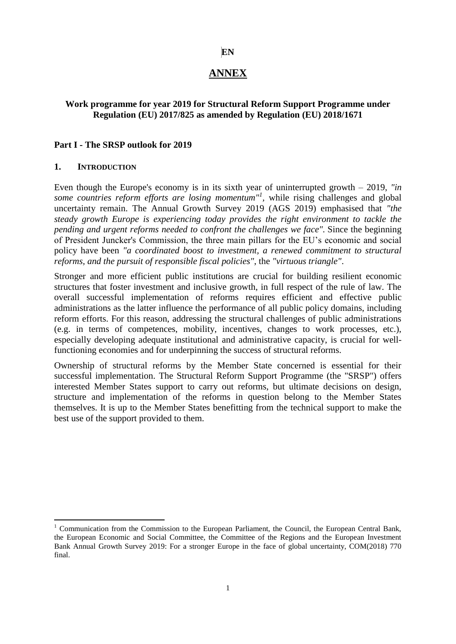#### **EN**

# **ANNEX**

#### **Work programme for year 2019 for Structural Reform Support Programme under Regulation (EU) 2017/825 as amended by Regulation (EU) 2018/1671**

#### **Part I - The SRSP outlook for 2019**

#### **1. INTRODUCTION**

<u>.</u>

Even though the Europe's economy is in its sixth year of uninterrupted growth – 2019, *"in*  some countries reform efforts are losing momentum<sup>"*l*</sup>, while rising challenges and global uncertainty remain. The Annual Growth Survey 2019 (AGS 2019) emphasised that *"the steady growth Europe is experiencing today provides the right environment to tackle the pending and urgent reforms needed to confront the challenges we face".* Since the beginning of President Juncker's Commission, the three main pillars for the EU's economic and social policy have been *"a coordinated boost to investment, a renewed commitment to structural reforms, and the pursuit of responsible fiscal policies"*, the *"virtuous triangle"*.

Stronger and more efficient public institutions are crucial for building resilient economic structures that foster investment and inclusive growth, in full respect of the rule of law. The overall successful implementation of reforms requires efficient and effective public administrations as the latter influence the performance of all public policy domains, including reform efforts. For this reason, addressing the structural challenges of public administrations (e.g. in terms of competences, mobility, incentives, changes to work processes, etc.), especially developing adequate institutional and administrative capacity, is crucial for wellfunctioning economies and for underpinning the success of structural reforms.

Ownership of structural reforms by the Member State concerned is essential for their successful implementation. The Structural Reform Support Programme (the "SRSP") offers interested Member States support to carry out reforms, but ultimate decisions on design, structure and implementation of the reforms in question belong to the Member States themselves. It is up to the Member States benefitting from the technical support to make the best use of the support provided to them.

<sup>&</sup>lt;sup>1</sup> Communication from the Commission to the European Parliament, the Council, the European Central Bank, the European Economic and Social Committee, the Committee of the Regions and the European Investment Bank Annual Growth Survey 2019: For a stronger Europe in the face of global uncertainty, COM(2018) 770 final.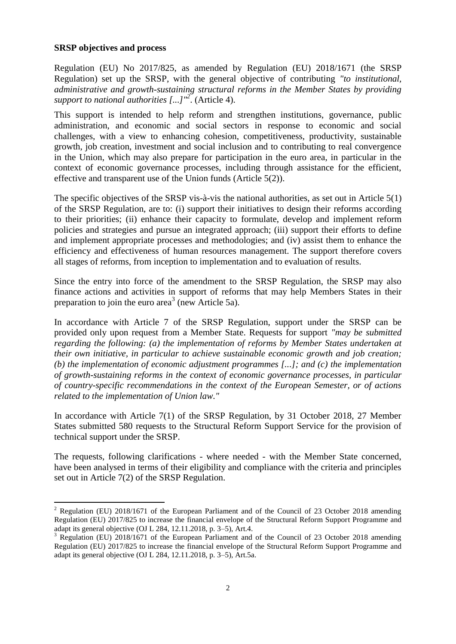#### **SRSP objectives and process**

1

Regulation (EU) No 2017/825, as amended by Regulation (EU) 2018/1671 (the SRSP Regulation) set up the SRSP, with the general objective of contributing *"to institutional, administrative and growth-sustaining structural reforms in the Member States by providing support to national authorities [...]"<sup>2</sup>* . (Article 4).

This support is intended to help reform and strengthen institutions, governance, public administration, and economic and social sectors in response to economic and social challenges, with a view to enhancing cohesion, competitiveness, productivity, sustainable growth, job creation, investment and social inclusion and to contributing to real convergence in the Union, which may also prepare for participation in the euro area, in particular in the context of economic governance processes, including through assistance for the efficient, effective and transparent use of the Union funds (Article 5(2)).

The specific objectives of the SRSP vis-à-vis the national authorities, as set out in Article 5(1) of the SRSP Regulation, are to: (i) support their initiatives to design their reforms according to their priorities; (ii) enhance their capacity to formulate, develop and implement reform policies and strategies and pursue an integrated approach; (iii) support their efforts to define and implement appropriate processes and methodologies; and (iv) assist them to enhance the efficiency and effectiveness of human resources management. The support therefore covers all stages of reforms, from inception to implementation and to evaluation of results.

Since the entry into force of the amendment to the SRSP Regulation, the SRSP may also finance actions and activities in support of reforms that may help Members States in their preparation to join the euro area<sup>3</sup> (new Article 5a).

In accordance with Article 7 of the SRSP Regulation, support under the SRSP can be provided only upon request from a Member State. Requests for support *"may be submitted regarding the following: (a) the implementation of reforms by Member States undertaken at their own initiative, in particular to achieve sustainable economic growth and job creation; (b) the implementation of economic adjustment programmes [...]; and (c) the implementation of growth-sustaining reforms in the context of economic governance processes, in particular of country-specific recommendations in the context of the European Semester, or of actions related to the implementation of Union law."*

In accordance with Article 7(1) of the SRSP Regulation, by 31 October 2018, 27 Member States submitted 580 requests to the Structural Reform Support Service for the provision of technical support under the SRSP.

The requests, following clarifications - where needed - with the Member State concerned, have been analysed in terms of their eligibility and compliance with the criteria and principles set out in Article 7(2) of the SRSP Regulation.

<sup>&</sup>lt;sup>2</sup> Regulation (EU) 2018/1671 of the European Parliament and of the Council of 23 October 2018 amending Regulation (EU) 2017/825 to increase the financial envelope of the Structural Reform Support Programme and adapt its general objective (OJ L 284, 12.11.2018, p. 3–5), Art.4.

 $3$  Regulation (EU) 2018/1671 of the European Parliament and of the Council of 23 October 2018 amending Regulation (EU) 2017/825 to increase the financial envelope of the Structural Reform Support Programme and adapt its general objective (OJ L 284, 12.11.2018, p. 3–5), Art.5a.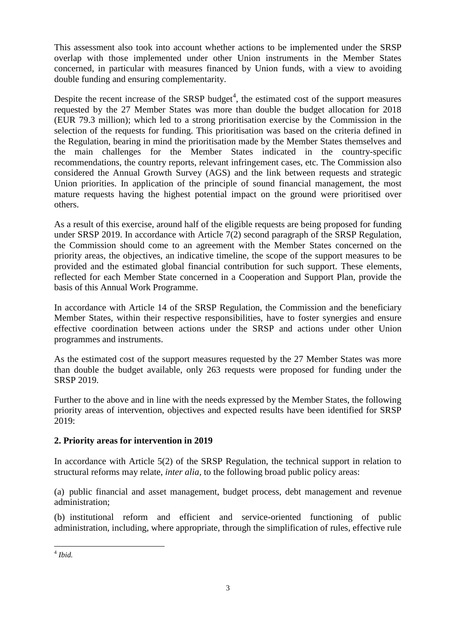This assessment also took into account whether actions to be implemented under the SRSP overlap with those implemented under other Union instruments in the Member States concerned, in particular with measures financed by Union funds, with a view to avoiding double funding and ensuring complementarity.

Despite the recent increase of the SRSP budget<sup>4</sup>, the estimated cost of the support measures requested by the 27 Member States was more than double the budget allocation for 2018 (EUR 79.3 million); which led to a strong prioritisation exercise by the Commission in the selection of the requests for funding. This prioritisation was based on the criteria defined in the Regulation, bearing in mind the prioritisation made by the Member States themselves and the main challenges for the Member States indicated in the country-specific recommendations, the country reports, relevant infringement cases, etc. The Commission also considered the Annual Growth Survey (AGS) and the link between requests and strategic Union priorities. In application of the principle of sound financial management, the most mature requests having the highest potential impact on the ground were prioritised over others.

As a result of this exercise, around half of the eligible requests are being proposed for funding under SRSP 2019. In accordance with Article 7(2) second paragraph of the SRSP Regulation, the Commission should come to an agreement with the Member States concerned on the priority areas, the objectives, an indicative timeline, the scope of the support measures to be provided and the estimated global financial contribution for such support. These elements, reflected for each Member State concerned in a Cooperation and Support Plan, provide the basis of this Annual Work Programme.

In accordance with Article 14 of the SRSP Regulation, the Commission and the beneficiary Member States, within their respective responsibilities, have to foster synergies and ensure effective coordination between actions under the SRSP and actions under other Union programmes and instruments.

As the estimated cost of the support measures requested by the 27 Member States was more than double the budget available, only 263 requests were proposed for funding under the SRSP 2019.

Further to the above and in line with the needs expressed by the Member States, the following priority areas of intervention, objectives and expected results have been identified for SRSP 2019:

### **2. Priority areas for intervention in 2019**

In accordance with Article 5(2) of the SRSP Regulation, the technical support in relation to structural reforms may relate, *inter alia,* to the following broad public policy areas:

(a) public financial and asset management, budget process, debt management and revenue administration;

(b) institutional reform and efficient and service-oriented functioning of public administration, including, where appropriate, through the simplification of rules, effective rule

 4 *Ibid.*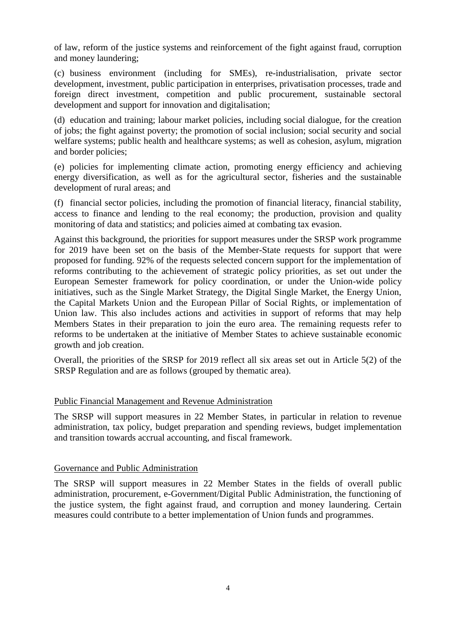of law, reform of the justice systems and reinforcement of the fight against fraud, corruption and money laundering;

(c) business environment (including for SMEs), re-industrialisation, private sector development, investment, public participation in enterprises, privatisation processes, trade and foreign direct investment, competition and public procurement, sustainable sectoral development and support for innovation and digitalisation;

(d) education and training; labour market policies, including social dialogue, for the creation of jobs; the fight against poverty; the promotion of social inclusion; social security and social welfare systems; public health and healthcare systems; as well as cohesion, asylum, migration and border policies;

(e) policies for implementing climate action, promoting energy efficiency and achieving energy diversification, as well as for the agricultural sector, fisheries and the sustainable development of rural areas; and

(f) financial sector policies, including the promotion of financial literacy, financial stability, access to finance and lending to the real economy; the production, provision and quality monitoring of data and statistics; and policies aimed at combating tax evasion.

Against this background, the priorities for support measures under the SRSP work programme for 2019 have been set on the basis of the Member-State requests for support that were proposed for funding. 92% of the requests selected concern support for the implementation of reforms contributing to the achievement of strategic policy priorities, as set out under the European Semester framework for policy coordination, or under the Union-wide policy initiatives, such as the Single Market Strategy, the Digital Single Market, the Energy Union, the Capital Markets Union and the European Pillar of Social Rights, or implementation of Union law. This also includes actions and activities in support of reforms that may help Members States in their preparation to join the euro area. The remaining requests refer to reforms to be undertaken at the initiative of Member States to achieve sustainable economic growth and job creation.

Overall, the priorities of the SRSP for 2019 reflect all six areas set out in Article 5(2) of the SRSP Regulation and are as follows (grouped by thematic area).

### Public Financial Management and Revenue Administration

The SRSP will support measures in 22 Member States, in particular in relation to revenue administration, tax policy, budget preparation and spending reviews, budget implementation and transition towards accrual accounting, and fiscal framework.

### Governance and Public Administration

The SRSP will support measures in 22 Member States in the fields of overall public administration, procurement, e-Government/Digital Public Administration, the functioning of the justice system, the fight against fraud, and corruption and money laundering. Certain measures could contribute to a better implementation of Union funds and programmes.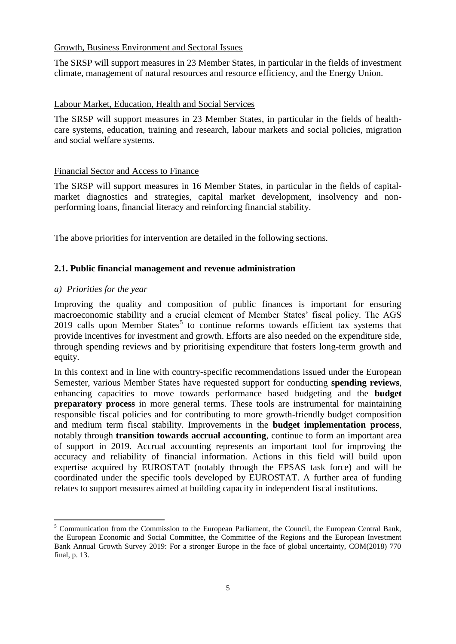#### Growth, Business Environment and Sectoral Issues

The SRSP will support measures in 23 Member States, in particular in the fields of investment climate, management of natural resources and resource efficiency, and the Energy Union.

### Labour Market, Education, Health and Social Services

The SRSP will support measures in 23 Member States, in particular in the fields of healthcare systems, education, training and research, labour markets and social policies, migration and social welfare systems.

### Financial Sector and Access to Finance

The SRSP will support measures in 16 Member States, in particular in the fields of capitalmarket diagnostics and strategies, capital market development, insolvency and nonperforming loans, financial literacy and reinforcing financial stability.

The above priorities for intervention are detailed in the following sections.

### **2.1. Public financial management and revenue administration**

#### *a) Priorities for the year*

<u>.</u>

Improving the quality and composition of public finances is important for ensuring macroeconomic stability and a crucial element of Member States' fiscal policy. The AGS  $2019$  calls upon Member States<sup>5</sup> to continue reforms towards efficient tax systems that provide incentives for investment and growth. Efforts are also needed on the expenditure side, through spending reviews and by prioritising expenditure that fosters long-term growth and equity.

In this context and in line with country-specific recommendations issued under the European Semester, various Member States have requested support for conducting **spending reviews**, enhancing capacities to move towards performance based budgeting and the **budget preparatory process** in more general terms. These tools are instrumental for maintaining responsible fiscal policies and for contributing to more growth-friendly budget composition and medium term fiscal stability. Improvements in the **budget implementation process**, notably through **transition towards accrual accounting**, continue to form an important area of support in 2019. Accrual accounting represents an important tool for improving the accuracy and reliability of financial information. Actions in this field will build upon expertise acquired by EUROSTAT (notably through the EPSAS task force) and will be coordinated under the specific tools developed by EUROSTAT. A further area of funding relates to support measures aimed at building capacity in independent fiscal institutions.

<sup>&</sup>lt;sup>5</sup> Communication from the Commission to the European Parliament, the Council, the European Central Bank, the European Economic and Social Committee, the Committee of the Regions and the European Investment Bank Annual Growth Survey 2019: For a stronger Europe in the face of global uncertainty, COM(2018) 770 final, p. 13.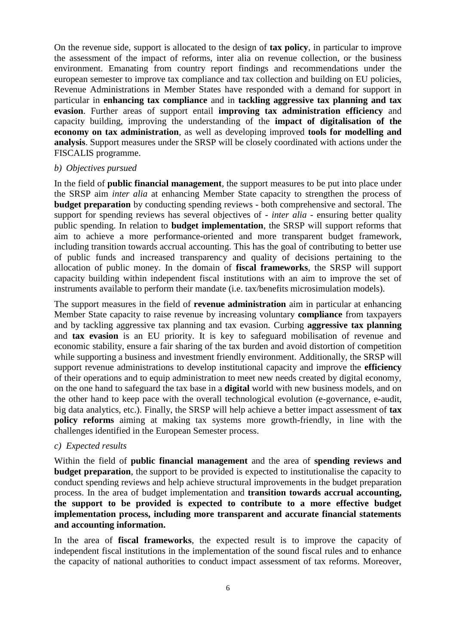On the revenue side, support is allocated to the design of **tax policy**, in particular to improve the assessment of the impact of reforms, inter alia on revenue collection, or the business environment. Emanating from country report findings and recommendations under the european semester to improve tax compliance and tax collection and building on EU policies, Revenue Administrations in Member States have responded with a demand for support in particular in **enhancing tax compliance** and in **tackling aggressive tax planning and tax evasion**. Further areas of support entail **improving tax administration efficiency** and capacity building, improving the understanding of the **impact of digitalisation of the economy on tax administration**, as well as developing improved **tools for modelling and analysis**. Support measures under the SRSP will be closely coordinated with actions under the FISCALIS programme.

#### *b) Objectives pursued*

In the field of **public financial management**, the support measures to be put into place under the SRSP aim *inter alia* at enhancing Member State capacity to strengthen the process of **budget preparation** by conducting spending reviews - both comprehensive and sectoral. The support for spending reviews has several objectives of - *inter alia* - ensuring better quality public spending. In relation to **budget implementation**, the SRSP will support reforms that aim to achieve a more performance-oriented and more transparent budget framework, including transition towards accrual accounting. This has the goal of contributing to better use of public funds and increased transparency and quality of decisions pertaining to the allocation of public money. In the domain of **fiscal frameworks**, the SRSP will support capacity building within independent fiscal institutions with an aim to improve the set of instruments available to perform their mandate (i.e. tax/benefits microsimulation models).

The support measures in the field of **revenue administration** aim in particular at enhancing Member State capacity to raise revenue by increasing voluntary **compliance** from taxpayers and by tackling aggressive tax planning and tax evasion. Curbing **aggressive tax planning** and **tax evasion** is an EU priority. It is key to safeguard mobilisation of revenue and economic stability, ensure a fair sharing of the tax burden and avoid distortion of competition while supporting a business and investment friendly environment. Additionally, the SRSP will support revenue administrations to develop institutional capacity and improve the **efficiency** of their operations and to equip administration to meet new needs created by digital economy, on the one hand to safeguard the tax base in a **digital** world with new business models, and on the other hand to keep pace with the overall technological evolution (e-governance, e-audit, big data analytics, etc.). Finally, the SRSP will help achieve a better impact assessment of **tax policy reforms** aiming at making tax systems more growth-friendly, in line with the challenges identified in the European Semester process.

#### *c) Expected results*

Within the field of **public financial management** and the area of **spending reviews and budget preparation**, the support to be provided is expected to institutionalise the capacity to conduct spending reviews and help achieve structural improvements in the budget preparation process. In the area of budget implementation and **transition towards accrual accounting, the support to be provided is expected to contribute to a more effective budget implementation process, including more transparent and accurate financial statements and accounting information.**

In the area of **fiscal frameworks**, the expected result is to improve the capacity of independent fiscal institutions in the implementation of the sound fiscal rules and to enhance the capacity of national authorities to conduct impact assessment of tax reforms. Moreover,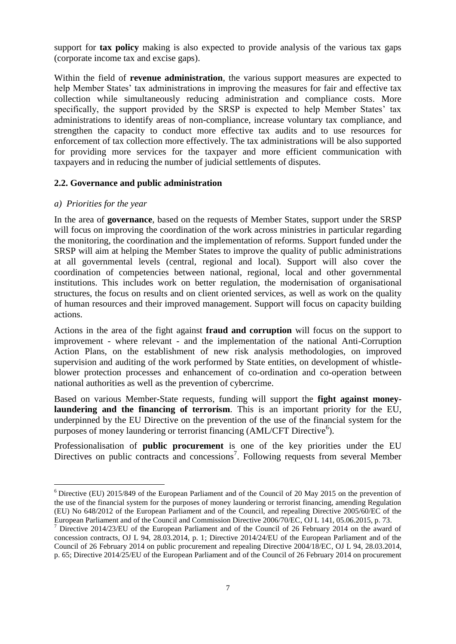support for **tax policy** making is also expected to provide analysis of the various tax gaps (corporate income tax and excise gaps).

Within the field of **revenue administration**, the various support measures are expected to help Member States' tax administrations in improving the measures for fair and effective tax collection while simultaneously reducing administration and compliance costs. More specifically, the support provided by the SRSP is expected to help Member States' tax administrations to identify areas of non-compliance, increase voluntary tax compliance, and strengthen the capacity to conduct more effective tax audits and to use resources for enforcement of tax collection more effectively. The tax administrations will be also supported for providing more services for the taxpayer and more efficient communication with taxpayers and in reducing the number of judicial settlements of disputes.

#### **2.2. Governance and public administration**

#### *a) Priorities for the year*

<u>.</u>

In the area of **governance**, based on the requests of Member States, support under the SRSP will focus on improving the coordination of the work across ministries in particular regarding the monitoring, the coordination and the implementation of reforms. Support funded under the SRSP will aim at helping the Member States to improve the quality of public administrations at all governmental levels (central, regional and local). Support will also cover the coordination of competencies between national, regional, local and other governmental institutions. This includes work on better regulation, the modernisation of organisational structures, the focus on results and on client oriented services, as well as work on the quality of human resources and their improved management. Support will focus on capacity building actions.

Actions in the area of the fight against **fraud and corruption** will focus on the support to improvement - where relevant - and the implementation of the national Anti-Corruption Action Plans, on the establishment of new risk analysis methodologies, on improved supervision and auditing of the work performed by State entities, on development of whistleblower protection processes and enhancement of co-ordination and co-operation between national authorities as well as the prevention of cybercrime.

Based on various Member-State requests, funding will support the **fight against moneylaundering and the financing of terrorism**. This is an important priority for the EU, underpinned by the EU Directive on the prevention of the use of the financial system for the purposes of money laundering or terrorist financing (AML/CFT Directive<sup>6</sup>).

Professionalisation of **public procurement** is one of the key priorities under the EU Directives on public contracts and concessions<sup>7</sup>. Following requests from several Member

<sup>6</sup> Directive (EU) 2015/849 of the European Parliament and of the Council of 20 May 2015 on the prevention of the use of the financial system for the purposes of money laundering or terrorist financing, amending Regulation (EU) No 648/2012 of the European Parliament and of the Council, and repealing Directive 2005/60/EC of the European Parliament and of the Council and Commission Directive 2006/70/EC, OJ L 141, 05.06.2015, p. 73.

 $<sup>7</sup>$  Directive 2014/23/EU of the European Parliament and of the Council of 26 February 2014 on the award of</sup> concession contracts, OJ L 94, 28.03.2014, p. 1; Directive 2014/24/EU of the European Parliament and of the Council of 26 February 2014 on public procurement and repealing Directive 2004/18/EC, OJ L 94, 28.03.2014, p. 65; Directive 2014/25/EU of the European Parliament and of the Council of 26 February 2014 on procurement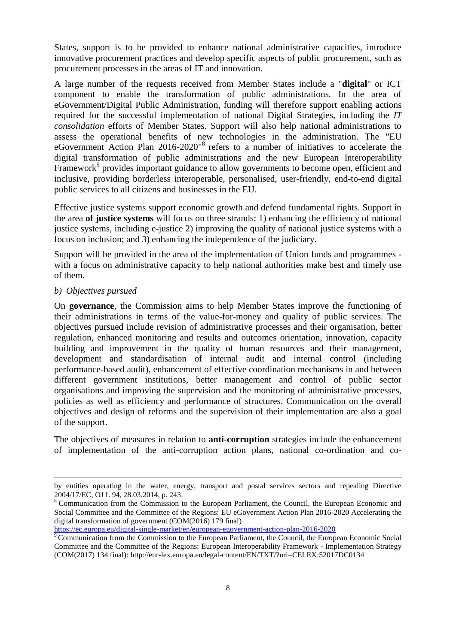States, support is to be provided to enhance national administrative capacities, introduce innovative procurement practices and develop specific aspects of public procurement, such as procurement processes in the areas of IT and innovation.

A large number of the requests received from Member States include a "**digital**" or ICT component to enable the transformation of public administrations. In the area of eGovernment/Digital Public Administration, funding will therefore support enabling actions required for the successful implementation of national Digital Strategies, including the *IT consolidation* efforts of Member States. Support will also help national administrations to assess the operational benefits of new technologies in the administration. The "EU eGovernment Action Plan 2016-2020"<sup>8</sup> refers to a number of initiatives to accelerate the digital transformation of public administrations and the new European Interoperability Framework<sup>9</sup> provides important guidance to allow governments to become open, efficient and inclusive, providing borderless interoperable, personalised, user-friendly, end-to-end digital public services to all citizens and businesses in the EU.

Effective justice systems support economic growth and defend fundamental rights. Support in the area **of justice systems** will focus on three strands: 1) enhancing the efficiency of national justice systems, including e-justice 2) improving the quality of national justice systems with a focus on inclusion; and 3) enhancing the independence of the judiciary.

Support will be provided in the area of the implementation of Union funds and programmes  with a focus on administrative capacity to help national authorities make best and timely use of them.

### *b) Objectives pursued*

1

On **governance**, the Commission aims to help Member States improve the functioning of their administrations in terms of the value-for-money and quality of public services. The objectives pursued include revision of administrative processes and their organisation, better regulation, enhanced monitoring and results and outcomes orientation, innovation, capacity building and improvement in the quality of human resources and their management, development and standardisation of internal audit and internal control (including performance-based audit), enhancement of effective coordination mechanisms in and between different government institutions, better management and control of public sector organisations and improving the supervision and the monitoring of administrative processes, policies as well as efficiency and performance of structures. Communication on the overall objectives and design of reforms and the supervision of their implementation are also a goal of the support.

The objectives of measures in relation to **anti-corruption** strategies include the enhancement of implementation of the anti-corruption action plans, national co-ordination and co-

<https://ec.europa.eu/digital-single-market/en/european-egovernment-action-plan-2016-2020>

by entities operating in the water, energy, transport and postal services sectors and repealing Directive 2004/17/EC, OJ L 94, 28.03.2014, p. 243.

<sup>&</sup>lt;sup>8</sup> Communication from the Commission to the European Parliament, the Council, the European Economic and Social Committee and the Committee of the Regions: EU eGovernment Action Plan 2016-2020 Accelerating the digital transformation of government (COM(2016) 179 final)

 $\sqrt[9]{9}$  Communication from the Commission to the European Parliament, the Council, the European Economic Social Committee and the Committee of the Regions: European Interoperability Framework - Implementation Strategy (COM(2017) 134 final):<http://eur-lex.europa.eu/legal-content/EN/TXT/?uri=CELEX:52017DC0134>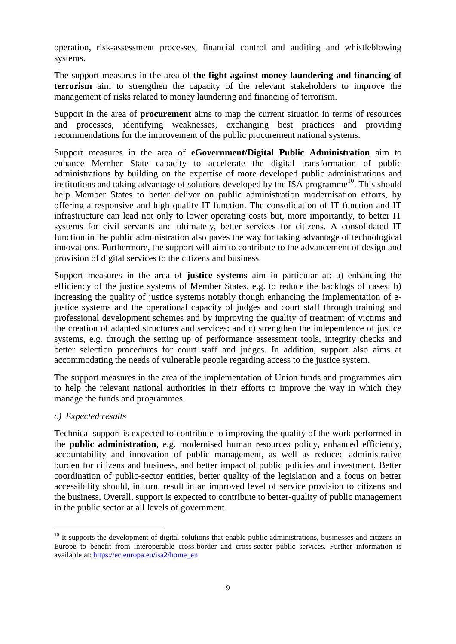operation, risk-assessment processes, financial control and auditing and whistleblowing systems.

The support measures in the area of **the fight against money laundering and financing of terrorism** aim to strengthen the capacity of the relevant stakeholders to improve the management of risks related to money laundering and financing of terrorism.

Support in the area of **procurement** aims to map the current situation in terms of resources and processes, identifying weaknesses, exchanging best practices and providing recommendations for the improvement of the public procurement national systems.

Support measures in the area of **eGovernment/Digital Public Administration** aim to enhance Member State capacity to accelerate the digital transformation of public administrations by building on the expertise of more developed public administrations and institutions and taking advantage of solutions developed by the ISA programme<sup>10</sup>. This should help Member States to better deliver on public administration modernisation efforts, by offering a responsive and high quality IT function. The consolidation of IT function and IT infrastructure can lead not only to lower operating costs but, more importantly, to better IT systems for civil servants and ultimately, better services for citizens. A consolidated IT function in the public administration also paves the way for taking advantage of technological innovations. Furthermore, the support will aim to contribute to the advancement of design and provision of digital services to the citizens and business.

Support measures in the area of **justice systems** aim in particular at: a) enhancing the efficiency of the justice systems of Member States, e.g. to reduce the backlogs of cases; b) increasing the quality of justice systems notably though enhancing the implementation of ejustice systems and the operational capacity of judges and court staff through training and professional development schemes and by improving the quality of treatment of victims and the creation of adapted structures and services; and c) strengthen the independence of justice systems, e.g. through the setting up of performance assessment tools, integrity checks and better selection procedures for court staff and judges. In addition, support also aims at accommodating the needs of vulnerable people regarding access to the justice system.

The support measures in the area of the implementation of Union funds and programmes aim to help the relevant national authorities in their efforts to improve the way in which they manage the funds and programmes.

### *c) Expected results*

1

Technical support is expected to contribute to improving the quality of the work performed in the **public administration**, e.g. modernised human resources policy, enhanced efficiency, accountability and innovation of public management, as well as reduced administrative burden for citizens and business, and better impact of public policies and investment. Better coordination of public-sector entities, better quality of the legislation and a focus on better accessibility should, in turn, result in an improved level of service provision to citizens and the business. Overall, support is expected to contribute to better-quality of public management in the public sector at all levels of government.

 $10$  It supports the development of digital solutions that enable public administrations, businesses and citizens in Europe to benefit from interoperable cross-border and cross-sector public services. Further information is available at: [https://ec.europa.eu/isa2/home\\_en](https://ec.europa.eu/isa2/home_en)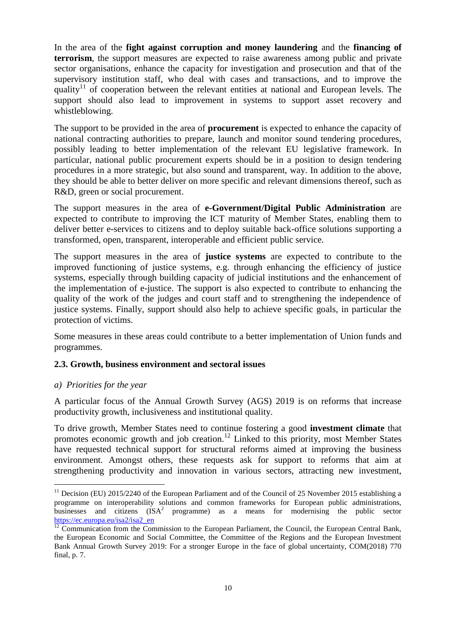In the area of the **fight against corruption and money laundering** and the **financing of terrorism**, the support measures are expected to raise awareness among public and private sector organisations, enhance the capacity for investigation and prosecution and that of the supervisory institution staff, who deal with cases and transactions, and to improve the quality<sup>11</sup> of cooperation between the relevant entities at national and European levels. The support should also lead to improvement in systems to support asset recovery and whistleblowing.

The support to be provided in the area of **procurement** is expected to enhance the capacity of national contracting authorities to prepare, launch and monitor sound tendering procedures, possibly leading to better implementation of the relevant EU legislative framework. In particular, national public procurement experts should be in a position to design tendering procedures in a more strategic, but also sound and transparent, way. In addition to the above, they should be able to better deliver on more specific and relevant dimensions thereof, such as R&D, green or social procurement.

The support measures in the area of **e-Government/Digital Public Administration** are expected to contribute to improving the ICT maturity of Member States, enabling them to deliver better e-services to citizens and to deploy suitable back-office solutions supporting a transformed, open, transparent, interoperable and efficient public service.

The support measures in the area of **justice systems** are expected to contribute to the improved functioning of justice systems, e.g. through enhancing the efficiency of justice systems, especially through building capacity of judicial institutions and the enhancement of the implementation of e-justice. The support is also expected to contribute to enhancing the quality of the work of the judges and court staff and to strengthening the independence of justice systems. Finally, support should also help to achieve specific goals, in particular the protection of victims.

Some measures in these areas could contribute to a better implementation of Union funds and programmes.

### **2.3. Growth, business environment and sectoral issues**

### *a) Priorities for the year*

<u>.</u>

A particular focus of the Annual Growth Survey (AGS) 2019 is on reforms that increase productivity growth, inclusiveness and institutional quality.

To drive growth, Member States need to continue fostering a good **investment climate** that promotes economic growth and job creation.<sup>12</sup> Linked to this priority, most Member States have requested technical support for structural reforms aimed at improving the business environment. Amongst others, these requests ask for support to reforms that aim at strengthening productivity and innovation in various sectors, attracting new investment,

 $11$  Decision (EU) 2015/2240 of the European Parliament and of the Council of 25 November 2015 establishing a programme on interoperability solutions and common frameworks for European public administrations, businesses and citizens  $(ISA^2$  programme) as a means for modernising the public sector [https://ec.europa.eu/isa2/isa2\\_en](https://ec.europa.eu/isa2/isa2_en)

 $\frac{12}{12}$  Communication from the Commission to the European Parliament, the Council, the European Central Bank, the European Economic and Social Committee, the Committee of the Regions and the European Investment Bank Annual Growth Survey 2019: For a stronger Europe in the face of global uncertainty, COM(2018) 770 final, p. 7.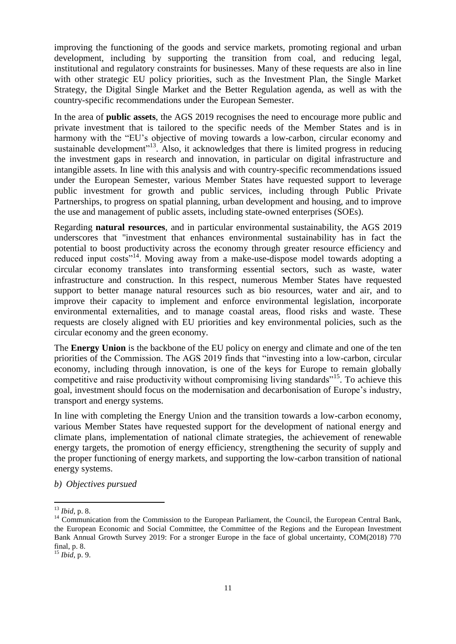improving the functioning of the goods and service markets, promoting regional and urban development, including by supporting the transition from coal, and reducing legal, institutional and regulatory constraints for businesses. Many of these requests are also in line with other strategic EU policy priorities, such as the Investment Plan, the Single Market Strategy, the Digital Single Market and the Better Regulation agenda, as well as with the country-specific recommendations under the European Semester.

In the area of **public assets**, the AGS 2019 recognises the need to encourage more public and private investment that is tailored to the specific needs of the Member States and is in harmony with the "EU's objective of moving towards a low-carbon, circular economy and sustainable development<sup>"13</sup>. Also, it acknowledges that there is limited progress in reducing the investment gaps in research and innovation, in particular on digital infrastructure and intangible assets. In line with this analysis and with country-specific recommendations issued under the European Semester, various Member States have requested support to leverage public investment for growth and public services, including through Public Private Partnerships, to progress on spatial planning, urban development and housing, and to improve the use and management of public assets, including state-owned enterprises (SOEs).

Regarding **natural resources**, and in particular environmental sustainability, the AGS 2019 underscores that "investment that enhances environmental sustainability has in fact the potential to boost productivity across the economy through greater resource efficiency and reduced input costs"<sup>14</sup>. Moving away from a make-use-dispose model towards adopting a circular economy translates into transforming essential sectors, such as waste, water infrastructure and construction. In this respect, numerous Member States have requested support to better manage natural resources such as bio resources, water and air, and to improve their capacity to implement and enforce environmental legislation, incorporate environmental externalities, and to manage coastal areas, flood risks and waste. These requests are closely aligned with EU priorities and key environmental policies, such as the circular economy and the green economy.

The **Energy Union** is the backbone of the EU policy on energy and climate and one of the ten priorities of the Commission. The AGS 2019 finds that "investing into a low-carbon, circular economy, including through innovation, is one of the keys for Europe to remain globally competitive and raise productivity without compromising living standards<sup>"15</sup>. To achieve this goal, investment should focus on the modernisation and decarbonisation of Europe's industry, transport and energy systems.

In line with completing the Energy Union and the transition towards a low-carbon economy, various Member States have requested support for the development of national energy and climate plans, implementation of national climate strategies, the achievement of renewable energy targets, the promotion of energy efficiency, strengthening the security of supply and the proper functioning of energy markets, and supporting the low-carbon transition of national energy systems.

*b) Objectives pursued*

1

<sup>13</sup> *Ibid*, p. 8.

<sup>&</sup>lt;sup>14</sup> Communication from the Commission to the European Parliament, the Council, the European Central Bank, the European Economic and Social Committee, the Committee of the Regions and the European Investment Bank Annual Growth Survey 2019: For a stronger Europe in the face of global uncertainty, COM(2018) 770 final, p. 8.

<sup>15</sup> *Ibid*, p. 9.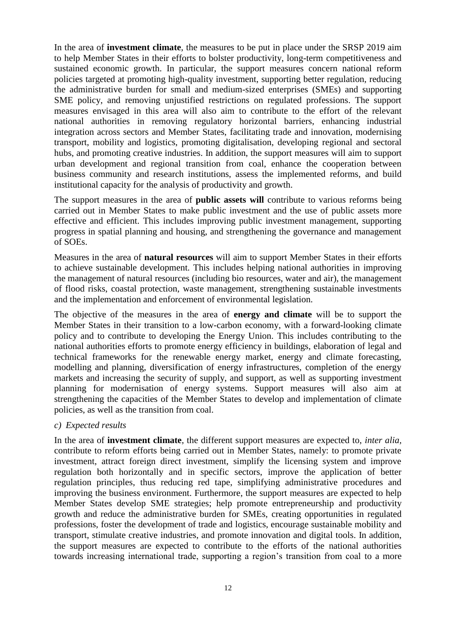In the area of **investment climate**, the measures to be put in place under the SRSP 2019 aim to help Member States in their efforts to bolster productivity, long-term competitiveness and sustained economic growth. In particular, the support measures concern national reform policies targeted at promoting high-quality investment, supporting better regulation, reducing the administrative burden for small and medium-sized enterprises (SMEs) and supporting SME policy, and removing unjustified restrictions on regulated professions. The support measures envisaged in this area will also aim to contribute to the effort of the relevant national authorities in removing regulatory horizontal barriers, enhancing industrial integration across sectors and Member States, facilitating trade and innovation, modernising transport, mobility and logistics, promoting digitalisation, developing regional and sectoral hubs, and promoting creative industries. In addition, the support measures will aim to support urban development and regional transition from coal, enhance the cooperation between business community and research institutions, assess the implemented reforms, and build institutional capacity for the analysis of productivity and growth.

The support measures in the area of **public assets will** contribute to various reforms being carried out in Member States to make public investment and the use of public assets more effective and efficient. This includes improving public investment management, supporting progress in spatial planning and housing, and strengthening the governance and management of SOEs.

Measures in the area of **natural resources** will aim to support Member States in their efforts to achieve sustainable development. This includes helping national authorities in improving the management of natural resources (including bio resources, water and air), the management of flood risks, coastal protection, waste management, strengthening sustainable investments and the implementation and enforcement of environmental legislation.

The objective of the measures in the area of **energy and climate** will be to support the Member States in their transition to a low-carbon economy, with a forward-looking climate policy and to contribute to developing the Energy Union. This includes contributing to the national authorities efforts to promote energy efficiency in buildings, elaboration of legal and technical frameworks for the renewable energy market, energy and climate forecasting, modelling and planning, diversification of energy infrastructures, completion of the energy markets and increasing the security of supply, and support, as well as supporting investment planning for modernisation of energy systems. Support measures will also aim at strengthening the capacities of the Member States to develop and implementation of climate policies, as well as the transition from coal.

### *c) Expected results*

In the area of **investment climate**, the different support measures are expected to, *inter alia,*  contribute to reform efforts being carried out in Member States, namely: to promote private investment, attract foreign direct investment, simplify the licensing system and improve regulation both horizontally and in specific sectors, improve the application of better regulation principles, thus reducing red tape, simplifying administrative procedures and improving the business environment. Furthermore, the support measures are expected to help Member States develop SME strategies; help promote entrepreneurship and productivity growth and reduce the administrative burden for SMEs, creating opportunities in regulated professions, foster the development of trade and logistics, encourage sustainable mobility and transport, stimulate creative industries, and promote innovation and digital tools. In addition, the support measures are expected to contribute to the efforts of the national authorities towards increasing international trade, supporting a region's transition from coal to a more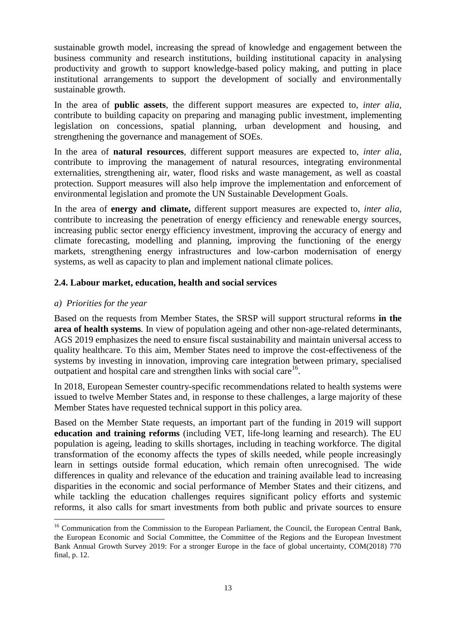sustainable growth model, increasing the spread of knowledge and engagement between the business community and research institutions, building institutional capacity in analysing productivity and growth to support knowledge-based policy making, and putting in place institutional arrangements to support the development of socially and environmentally sustainable growth.

In the area of **public assets**, the different support measures are expected to, *inter alia,*  contribute to building capacity on preparing and managing public investment, implementing legislation on concessions, spatial planning, urban development and housing, and strengthening the governance and management of SOEs.

In the area of **natural resources**, different support measures are expected to, *inter alia,*  contribute to improving the management of natural resources, integrating environmental externalities, strengthening air, water, flood risks and waste management, as well as coastal protection. Support measures will also help improve the implementation and enforcement of environmental legislation and promote the UN Sustainable Development Goals.

In the area of **energy and climate,** different support measures are expected to, *inter alia,* contribute to increasing the penetration of energy efficiency and renewable energy sources, increasing public sector energy efficiency investment, improving the accuracy of energy and climate forecasting, modelling and planning, improving the functioning of the energy markets, strengthening energy infrastructures and low-carbon modernisation of energy systems, as well as capacity to plan and implement national climate polices.

### **2.4. Labour market, education, health and social services**

#### *a) Priorities for the year*

<u>.</u>

Based on the requests from Member States, the SRSP will support structural reforms **in the area of health systems***.* In view of population ageing and other non-age-related determinants, AGS 2019 emphasizes the need to ensure fiscal sustainability and maintain universal access to quality healthcare. To this aim, Member States need to improve the cost-effectiveness of the systems by investing in innovation, improving care integration between primary, specialised outpatient and hospital care and strengthen links with social care<sup>16</sup>.

In 2018, European Semester country-specific recommendations related to health systems were issued to twelve Member States and, in response to these challenges, a large majority of these Member States have requested technical support in this policy area.

Based on the Member State requests, an important part of the funding in 2019 will support **education and training reforms** (including VET, life-long learning and research). The EU population is ageing, leading to skills shortages, including in teaching workforce. The digital transformation of the economy affects the types of skills needed, while people increasingly learn in settings outside formal education, which remain often unrecognised. The wide differences in quality and relevance of the education and training available lead to increasing disparities in the economic and social performance of Member States and their citizens, and while tackling the education challenges requires significant policy efforts and systemic reforms, it also calls for smart investments from both public and private sources to ensure

<sup>&</sup>lt;sup>16</sup> Communication from the Commission to the European Parliament, the Council, the European Central Bank, the European Economic and Social Committee, the Committee of the Regions and the European Investment Bank Annual Growth Survey 2019: For a stronger Europe in the face of global uncertainty, COM(2018) 770 final, p. 12.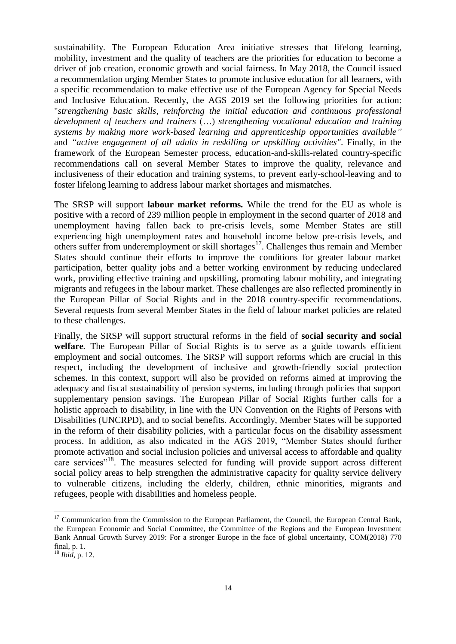sustainability. The European Education Area initiative stresses that lifelong learning, mobility, investment and the quality of teachers are the priorities for education to become a driver of job creation, economic growth and social fairness. In May 2018, the Council issued a recommendation urging Member States to promote inclusive education for all learners, with a specific recommendation to make effective use of the European Agency for Special Needs and Inclusive Education. Recently, the AGS 2019 set the following priorities for action: "*strengthening basic skills, reinforcing the initial education and continuous professional development of teachers and trainers* (…) *strengthening vocational education and training systems by making more work-based learning and apprenticeship opportunities available"*  and *"active engagement of all adults in reskilling or upskilling activities"*. Finally, in the framework of the European Semester process, education-and-skills-related country-specific recommendations call on several Member States to improve the quality, relevance and inclusiveness of their education and training systems, to prevent early-school-leaving and to foster lifelong learning to address labour market shortages and mismatches.

The SRSP will support **labour market reforms***.* While the trend for the EU as whole is positive with a record of 239 million people in employment in the second quarter of 2018 and unemployment having fallen back to pre-crisis levels, some Member States are still experiencing high unemployment rates and household income below pre-crisis levels, and others suffer from underemployment or skill shortages<sup>17</sup>. Challenges thus remain and Member States should continue their efforts to improve the conditions for greater labour market participation, better quality jobs and a better working environment by reducing undeclared work, providing effective training and upskilling, promoting labour mobility, and integrating migrants and refugees in the labour market. These challenges are also reflected prominently in the European Pillar of Social Rights and in the 2018 country-specific recommendations. Several requests from several Member States in the field of labour market policies are related to these challenges.

Finally, the SRSP will support structural reforms in the field of **social security and social welfare***.* The European Pillar of Social Rights is to serve as a guide towards efficient employment and social outcomes. The SRSP will support reforms which are crucial in this respect, including the development of inclusive and growth-friendly social protection schemes. In this context, support will also be provided on reforms aimed at improving the adequacy and fiscal sustainability of pension systems, including through policies that support supplementary pension savings. The European Pillar of Social Rights further calls for a holistic approach to disability, in line with the UN Convention on the Rights of Persons with Disabilities (UNCRPD), and to social benefits. Accordingly, Member States will be supported in the reform of their disability policies, with a particular focus on the disability assessment process. In addition, as also indicated in the AGS 2019, "Member States should further promote activation and social inclusion policies and universal access to affordable and quality care services"<sup>18</sup>. The measures selected for funding will provide support across different social policy areas to help strengthen the administrative capacity for quality service delivery to vulnerable citizens, including the elderly, children, ethnic minorities, migrants and refugees, people with disabilities and homeless people.

1

<sup>&</sup>lt;sup>17</sup> Communication from the Commission to the European Parliament, the Council, the European Central Bank, the European Economic and Social Committee, the Committee of the Regions and the European Investment Bank Annual Growth Survey 2019: For a stronger Europe in the face of global uncertainty, COM(2018) 770 final, p. 1.

<sup>18</sup> *Ibid*, p. 12.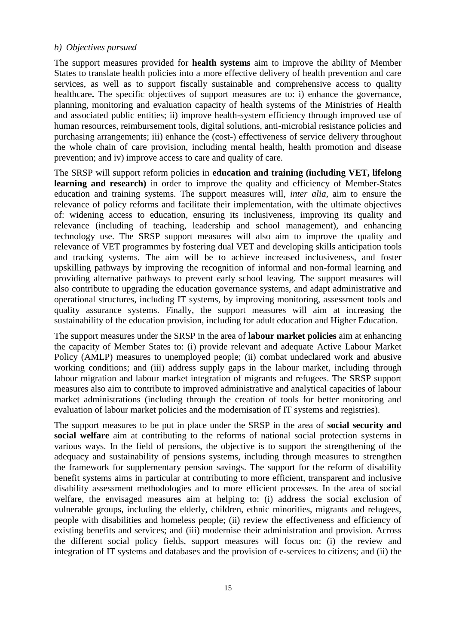#### *b) Objectives pursued*

The support measures provided for **health systems** aim to improve the ability of Member States to translate health policies into a more effective delivery of health prevention and care services, as well as to support fiscally sustainable and comprehensive access to quality healthcare. The specific objectives of support measures are to: i) enhance the governance, planning, monitoring and evaluation capacity of health systems of the Ministries of Health and associated public entities; ii) improve health-system efficiency through improved use of human resources, reimbursement tools, digital solutions, anti-microbial resistance policies and purchasing arrangements; iii) enhance the (cost-) effectiveness of service delivery throughout the whole chain of care provision, including mental health, health promotion and disease prevention; and iv) improve access to care and quality of care.

The SRSP will support reform policies in **education and training (including VET, lifelong**  learning and research) in order to improve the quality and efficiency of Member-States education and training systems. The support measures will, *inter alia,* aim to ensure the relevance of policy reforms and facilitate their implementation, with the ultimate objectives of: widening access to education, ensuring its inclusiveness, improving its quality and relevance (including of teaching, leadership and school management), and enhancing technology use. The SRSP support measures will also aim to improve the quality and relevance of VET programmes by fostering dual VET and developing skills anticipation tools and tracking systems. The aim will be to achieve increased inclusiveness, and foster upskilling pathways by improving the recognition of informal and non-formal learning and providing alternative pathways to prevent early school leaving. The support measures will also contribute to upgrading the education governance systems, and adapt administrative and operational structures, including IT systems, by improving monitoring, assessment tools and quality assurance systems. Finally, the support measures will aim at increasing the sustainability of the education provision, including for adult education and Higher Education.

The support measures under the SRSP in the area of **labour market policies** aim at enhancing the capacity of Member States to: (i) provide relevant and adequate Active Labour Market Policy (AMLP) measures to unemployed people; (ii) combat undeclared work and abusive working conditions; and (iii) address supply gaps in the labour market, including through labour migration and labour market integration of migrants and refugees. The SRSP support measures also aim to contribute to improved administrative and analytical capacities of labour market administrations (including through the creation of tools for better monitoring and evaluation of labour market policies and the modernisation of IT systems and registries).

The support measures to be put in place under the SRSP in the area of **social security and social welfare** aim at contributing to the reforms of national social protection systems in various ways. In the field of pensions, the objective is to support the strengthening of the adequacy and sustainability of pensions systems, including through measures to strengthen the framework for supplementary pension savings. The support for the reform of disability benefit systems aims in particular at contributing to more efficient, transparent and inclusive disability assessment methodologies and to more efficient processes. In the area of social welfare, the envisaged measures aim at helping to: (i) address the social exclusion of vulnerable groups, including the elderly, children, ethnic minorities, migrants and refugees, people with disabilities and homeless people; (ii) review the effectiveness and efficiency of existing benefits and services; and (iii) modernise their administration and provision. Across the different social policy fields, support measures will focus on: (i) the review and integration of IT systems and databases and the provision of e-services to citizens; and (ii) the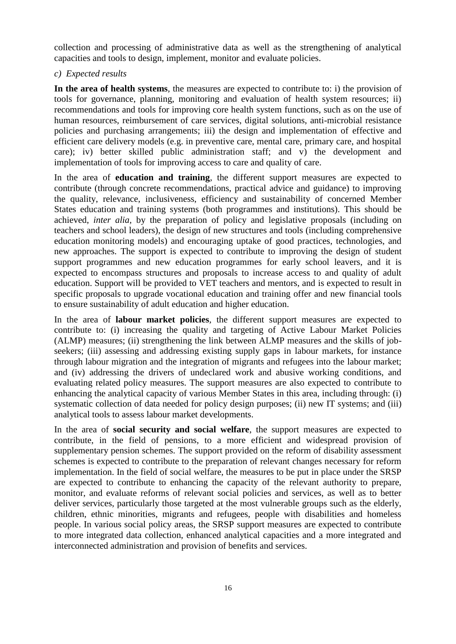collection and processing of administrative data as well as the strengthening of analytical capacities and tools to design, implement, monitor and evaluate policies.

#### *c) Expected results*

**In the area of health systems***,* the measures are expected to contribute to: i) the provision of tools for governance, planning, monitoring and evaluation of health system resources; ii) recommendations and tools for improving core health system functions, such as on the use of human resources, reimbursement of care services, digital solutions, anti-microbial resistance policies and purchasing arrangements; iii) the design and implementation of effective and efficient care delivery models (e.g. in preventive care, mental care, primary care, and hospital care); iv) better skilled public administration staff; and v) the development and implementation of tools for improving access to care and quality of care.

In the area of **education and training***,* the different support measures are expected to contribute (through concrete recommendations, practical advice and guidance) to improving the quality, relevance, inclusiveness, efficiency and sustainability of concerned Member States education and training systems (both programmes and institutions). This should be achieved, *inter alia,* by the preparation of policy and legislative proposals (including on teachers and school leaders), the design of new structures and tools (including comprehensive education monitoring models) and encouraging uptake of good practices, technologies, and new approaches. The support is expected to contribute to improving the design of student support programmes and new education programmes for early school leavers, and it is expected to encompass structures and proposals to increase access to and quality of adult education. Support will be provided to VET teachers and mentors, and is expected to result in specific proposals to upgrade vocational education and training offer and new financial tools to ensure sustainability of adult education and higher education.

In the area of **labour market policies***,* the different support measures are expected to contribute to: (i) increasing the quality and targeting of Active Labour Market Policies (ALMP) measures; (ii) strengthening the link between ALMP measures and the skills of jobseekers; (iii) assessing and addressing existing supply gaps in labour markets, for instance through labour migration and the integration of migrants and refugees into the labour market; and (iv) addressing the drivers of undeclared work and abusive working conditions, and evaluating related policy measures. The support measures are also expected to contribute to enhancing the analytical capacity of various Member States in this area, including through: (i) systematic collection of data needed for policy design purposes; (ii) new IT systems; and (iii) analytical tools to assess labour market developments.

In the area of **social security and social welfare**, the support measures are expected to contribute, in the field of pensions, to a more efficient and widespread provision of supplementary pension schemes. The support provided on the reform of disability assessment schemes is expected to contribute to the preparation of relevant changes necessary for reform implementation. In the field of social welfare, the measures to be put in place under the SRSP are expected to contribute to enhancing the capacity of the relevant authority to prepare, monitor, and evaluate reforms of relevant social policies and services, as well as to better deliver services, particularly those targeted at the most vulnerable groups such as the elderly, children, ethnic minorities, migrants and refugees, people with disabilities and homeless people. In various social policy areas, the SRSP support measures are expected to contribute to more integrated data collection, enhanced analytical capacities and a more integrated and interconnected administration and provision of benefits and services.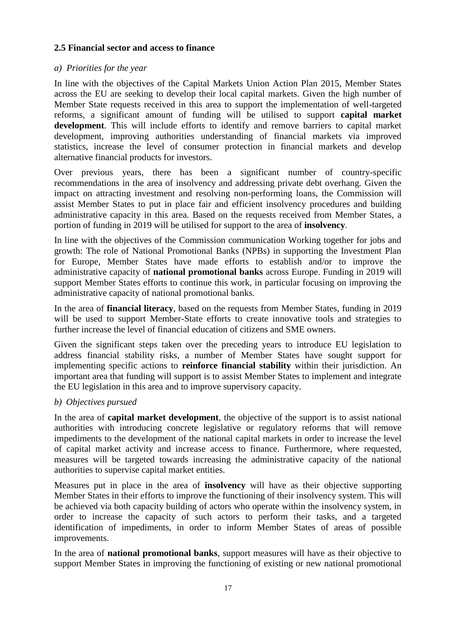### **2.5 Financial sector and access to finance**

#### *a) Priorities for the year*

In line with the objectives of the Capital Markets Union Action Plan 2015, Member States across the EU are seeking to develop their local capital markets. Given the high number of Member State requests received in this area to support the implementation of well-targeted reforms, a significant amount of funding will be utilised to support **capital market development**. This will include efforts to identify and remove barriers to capital market development, improving authorities understanding of financial markets via improved statistics, increase the level of consumer protection in financial markets and develop alternative financial products for investors.

Over previous years, there has been a significant number of country-specific recommendations in the area of insolvency and addressing private debt overhang. Given the impact on attracting investment and resolving non-performing loans, the Commission will assist Member States to put in place fair and efficient insolvency procedures and building administrative capacity in this area. Based on the requests received from Member States, a portion of funding in 2019 will be utilised for support to the area of **insolvency**.

In line with the objectives of the Commission communication Working together for jobs and growth: The role of National Promotional Banks (NPBs) in supporting the Investment Plan for Europe, Member States have made efforts to establish and/or to improve the administrative capacity of **national promotional banks** across Europe. Funding in 2019 will support Member States efforts to continue this work, in particular focusing on improving the administrative capacity of national promotional banks.

In the area of **financial literacy**, based on the requests from Member States, funding in 2019 will be used to support Member-State efforts to create innovative tools and strategies to further increase the level of financial education of citizens and SME owners.

Given the significant steps taken over the preceding years to introduce EU legislation to address financial stability risks, a number of Member States have sought support for implementing specific actions to **reinforce financial stability** within their jurisdiction. An important area that funding will support is to assist Member States to implement and integrate the EU legislation in this area and to improve supervisory capacity.

### *b) Objectives pursued*

In the area of **capital market development**, the objective of the support is to assist national authorities with introducing concrete legislative or regulatory reforms that will remove impediments to the development of the national capital markets in order to increase the level of capital market activity and increase access to finance. Furthermore, where requested, measures will be targeted towards increasing the administrative capacity of the national authorities to supervise capital market entities.

Measures put in place in the area of **insolvency** will have as their objective supporting Member States in their efforts to improve the functioning of their insolvency system. This will be achieved via both capacity building of actors who operate within the insolvency system, in order to increase the capacity of such actors to perform their tasks, and a targeted identification of impediments, in order to inform Member States of areas of possible improvements.

In the area of **national promotional banks**, support measures will have as their objective to support Member States in improving the functioning of existing or new national promotional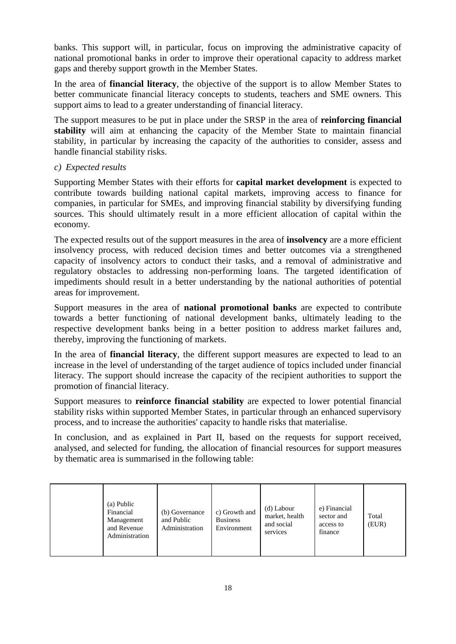banks. This support will, in particular, focus on improving the administrative capacity of national promotional banks in order to improve their operational capacity to address market gaps and thereby support growth in the Member States.

In the area of **financial literacy**, the objective of the support is to allow Member States to better communicate financial literacy concepts to students, teachers and SME owners. This support aims to lead to a greater understanding of financial literacy.

The support measures to be put in place under the SRSP in the area of **reinforcing financial stability** will aim at enhancing the capacity of the Member State to maintain financial stability, in particular by increasing the capacity of the authorities to consider, assess and handle financial stability risks.

### *c) Expected results*

Supporting Member States with their efforts for **capital market development** is expected to contribute towards building national capital markets, improving access to finance for companies, in particular for SMEs, and improving financial stability by diversifying funding sources. This should ultimately result in a more efficient allocation of capital within the economy.

The expected results out of the support measures in the area of **insolvency** are a more efficient insolvency process, with reduced decision times and better outcomes via a strengthened capacity of insolvency actors to conduct their tasks, and a removal of administrative and regulatory obstacles to addressing non-performing loans. The targeted identification of impediments should result in a better understanding by the national authorities of potential areas for improvement.

Support measures in the area of **national promotional banks** are expected to contribute towards a better functioning of national development banks, ultimately leading to the respective development banks being in a better position to address market failures and, thereby, improving the functioning of markets.

In the area of **financial literacy**, the different support measures are expected to lead to an increase in the level of understanding of the target audience of topics included under financial literacy. The support should increase the capacity of the recipient authorities to support the promotion of financial literacy.

Support measures to **reinforce financial stability** are expected to lower potential financial stability risks within supported Member States, in particular through an enhanced supervisory process, and to increase the authorities' capacity to handle risks that materialise.

In conclusion, and as explained in Part II, based on the requests for support received, analysed, and selected for funding, the allocation of financial resources for support measures by thematic area is summarised in the following table:

|  | (a) Public<br>Financial<br>Management<br>and Revenue<br>Administration | (b) Governance<br>and Public<br>Administration | c) Growth and<br><b>Business</b><br>Environment | (d) Labour<br>market, health<br>and social<br>services | e) Financial<br>sector and<br>access to<br>finance | Total<br>(EUR) |
|--|------------------------------------------------------------------------|------------------------------------------------|-------------------------------------------------|--------------------------------------------------------|----------------------------------------------------|----------------|
|--|------------------------------------------------------------------------|------------------------------------------------|-------------------------------------------------|--------------------------------------------------------|----------------------------------------------------|----------------|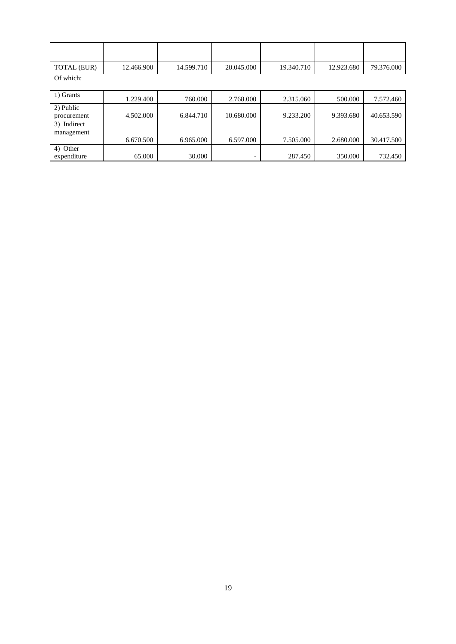| TOTAL (EUR) | 12.466.900 | 14.599.710 | 20.045.000 | 19.340.710 | 12.923.680 | 79.376.000 |
|-------------|------------|------------|------------|------------|------------|------------|

Of which:

| 1) Grants   | 1.229.400 | 760,000   | 2.768.000                | 2.315.060 | 500,000   | 7.572.460  |
|-------------|-----------|-----------|--------------------------|-----------|-----------|------------|
| 2) Public   |           |           |                          |           |           |            |
| procurement | 4.502.000 | 6.844.710 | 10.680.000               | 9.233.200 | 9.393.680 | 40.653.590 |
| 3) Indirect |           |           |                          |           |           |            |
| management  |           |           |                          |           |           |            |
|             | 6.670.500 | 6.965.000 | 6.597.000                | 7.505.000 | 2.680.000 | 30.417.500 |
| 4) Other    |           |           |                          |           |           |            |
| expenditure | 65.000    | 30.000    | $\overline{\phantom{0}}$ | 287.450   | 350,000   | 732.450    |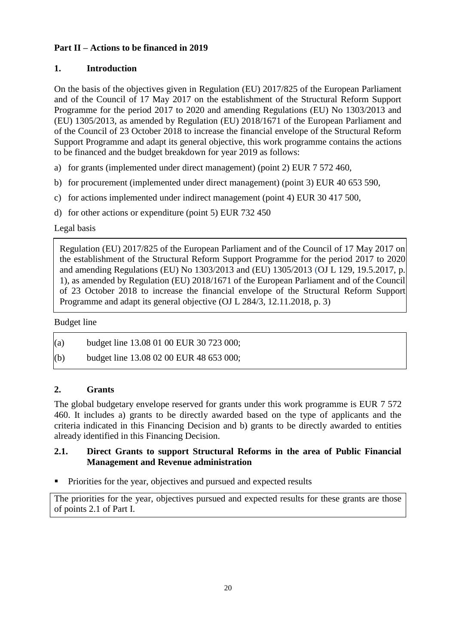# **Part II – Actions to be financed in 2019**

# **1. Introduction**

On the basis of the objectives given in Regulation (EU) 2017/825 of the European Parliament and of the Council of 17 May 2017 on the establishment of the Structural Reform Support Programme for the period 2017 to 2020 and amending Regulations (EU) No 1303/2013 and (EU) 1305/2013, as amended by Regulation (EU) 2018/1671 of the European Parliament and of the Council of 23 October 2018 to increase the financial envelope of the Structural Reform Support Programme and adapt its general objective, this work programme contains the actions to be financed and the budget breakdown for year 2019 as follows:

- a) for grants (implemented under direct management) (point 2) EUR 7 572 460,
- b) for procurement (implemented under direct management) (point 3) EUR 40 653 590,
- c) for actions implemented under indirect management (point 4) EUR 30 417 500,
- d) for other actions or expenditure (point 5) EUR 732 450

# Legal basis

Regulation (EU) 2017/825 of the European Parliament and of the Council of 17 May 2017 on the establishment of the Structural Reform Support Programme for the period 2017 to 2020 and amending Regulations (EU) No 1303/2013 and (EU) 1305/2013 (OJ L 129, 19.5.2017, p. 1), as amended by Regulation (EU) 2018/1671 of the European Parliament and of the Council of 23 October 2018 to increase the financial envelope of the Structural Reform Support Programme and adapt its general objective (OJ L 284/3, 12.11.2018, p. 3)

# Budget line

| (a) | budget line 13.08 01 00 EUR 30 723 000; |
|-----|-----------------------------------------|
|-----|-----------------------------------------|

(b) budget line  $13.08\,02\,00$  EUR 48 653 000;

# **2. Grants**

The global budgetary envelope reserved for grants under this work programme is EUR 7 572 460. It includes a) grants to be directly awarded based on the type of applicants and the criteria indicated in this Financing Decision and b) grants to be directly awarded to entities already identified in this Financing Decision.

# **2.1. Direct Grants to support Structural Reforms in the area of Public Financial Management and Revenue administration**

Priorities for the year, objectives and pursued and expected results

The priorities for the year, objectives pursued and expected results for these grants are those of points 2.1 of Part I.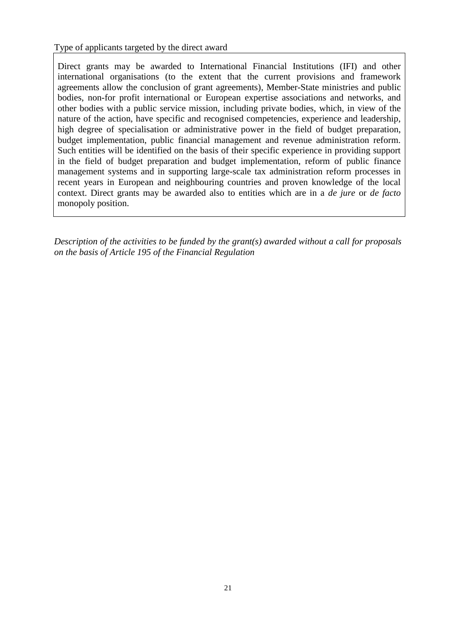Type of applicants targeted by the direct award

Direct grants may be awarded to International Financial Institutions (IFI) and other international organisations (to the extent that the current provisions and framework agreements allow the conclusion of grant agreements), Member-State ministries and public bodies, non-for profit international or European expertise associations and networks, and other bodies with a public service mission, including private bodies, which, in view of the nature of the action, have specific and recognised competencies, experience and leadership, high degree of specialisation or administrative power in the field of budget preparation, budget implementation, public financial management and revenue administration reform. Such entities will be identified on the basis of their specific experience in providing support in the field of budget preparation and budget implementation, reform of public finance management systems and in supporting large-scale tax administration reform processes in recent years in European and neighbouring countries and proven knowledge of the local context. Direct grants may be awarded also to entities which are in a *de jure* or *de facto* monopoly position.

*Description of the activities to be funded by the grant(s) awarded without a call for proposals on the basis of Article 195 of the Financial Regulation*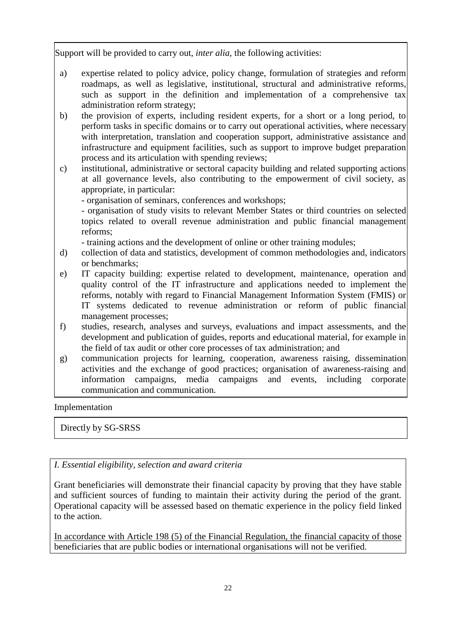Support will be provided to carry out, *inter alia,* the following activities:

- a) expertise related to policy advice, policy change, formulation of strategies and reform roadmaps, as well as legislative, institutional, structural and administrative reforms, such as support in the definition and implementation of a comprehensive tax administration reform strategy;
- b) the provision of experts, including resident experts, for a short or a long period, to perform tasks in specific domains or to carry out operational activities, where necessary with interpretation, translation and cooperation support, administrative assistance and infrastructure and equipment facilities, such as support to improve budget preparation process and its articulation with spending reviews;
- c) institutional, administrative or sectoral capacity building and related supporting actions at all governance levels, also contributing to the empowerment of civil society, as appropriate, in particular:
	- organisation of seminars, conferences and workshops;

- organisation of study visits to relevant Member States or third countries on selected topics related to overall revenue administration and public financial management reforms;

- training actions and the development of online or other training modules;

- d) collection of data and statistics, development of common methodologies and, indicators or benchmarks;
- e) IT capacity building: expertise related to development, maintenance, operation and quality control of the IT infrastructure and applications needed to implement the reforms, notably with regard to Financial Management Information System (FMIS) or IT systems dedicated to revenue administration or reform of public financial management processes;
- f) studies, research, analyses and surveys, evaluations and impact assessments, and the development and publication of guides, reports and educational material, for example in the field of tax audit or other core processes of tax administration; and
- g) communication projects for learning, cooperation, awareness raising, dissemination activities and the exchange of good practices; organisation of awareness-raising and information campaigns, media campaigns and events, including corporate communication and communication.

Implementation

Directly by SG-SRSS

*I. Essential eligibility, selection and award criteria*

Grant beneficiaries will demonstrate their financial capacity by proving that they have stable and sufficient sources of funding to maintain their activity during the period of the grant. Operational capacity will be assessed based on thematic experience in the policy field linked to the action.

In accordance with Article 198 (5) of the Financial Regulation, the financial capacity of those beneficiaries that are public bodies or international organisations will not be verified.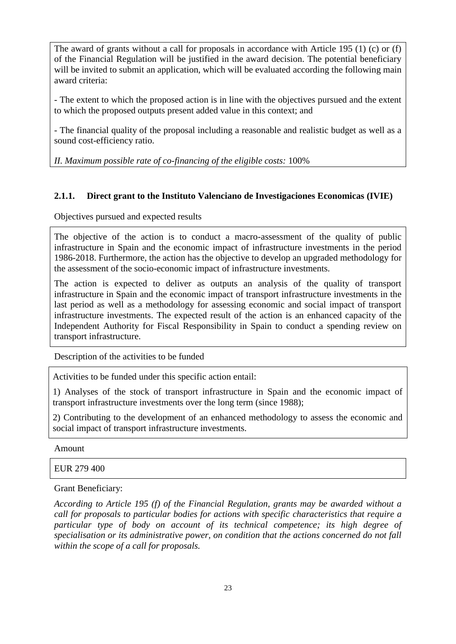The award of grants without a call for proposals in accordance with Article 195 (1) (c) or (f) of the Financial Regulation will be justified in the award decision. The potential beneficiary will be invited to submit an application, which will be evaluated according the following main award criteria:

- The extent to which the proposed action is in line with the objectives pursued and the extent to which the proposed outputs present added value in this context; and

- The financial quality of the proposal including a reasonable and realistic budget as well as a sound cost-efficiency ratio.

*II. Maximum possible rate of co-financing of the eligible costs:* 100%

# **2.1.1. Direct grant to the Instituto Valenciano de Investigaciones Economicas (IVIE)**

Objectives pursued and expected results

The objective of the action is to conduct a macro-assessment of the quality of public infrastructure in Spain and the economic impact of infrastructure investments in the period 1986-2018. Furthermore, the action has the objective to develop an upgraded methodology for the assessment of the socio-economic impact of infrastructure investments.

The action is expected to deliver as outputs an analysis of the quality of transport infrastructure in Spain and the economic impact of transport infrastructure investments in the last period as well as a methodology for assessing economic and social impact of transport infrastructure investments. The expected result of the action is an enhanced capacity of the Independent Authority for Fiscal Responsibility in Spain to conduct a spending review on transport infrastructure.

Description of the activities to be funded

Activities to be funded under this specific action entail:

1) Analyses of the stock of transport infrastructure in Spain and the economic impact of transport infrastructure investments over the long term (since 1988);

2) Contributing to the development of an enhanced methodology to assess the economic and social impact of transport infrastructure investments.

Amount

EUR 279 400

Grant Beneficiary:

*According to Article 195 (f) of the Financial Regulation, grants may be awarded without a call for proposals to particular bodies for actions with specific characteristics that require a particular type of body on account of its technical competence; its high degree of specialisation or its administrative power, on condition that the actions concerned do not fall within the scope of a call for proposals.*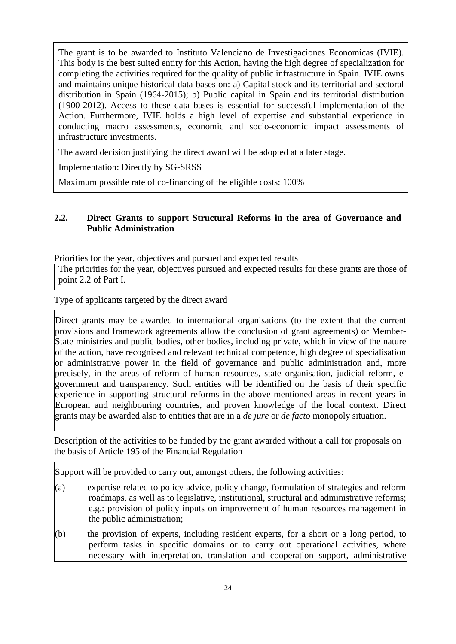The grant is to be awarded to Instituto Valenciano de Investigaciones Economicas (IVIE). This body is the best suited entity for this Action, having the high degree of specialization for completing the activities required for the quality of public infrastructure in Spain. IVIE owns and maintains unique historical data bases on: a) Capital stock and its territorial and sectoral distribution in Spain (1964-2015); b) Public capital in Spain and its territorial distribution (1900-2012). Access to these data bases is essential for successful implementation of the Action. Furthermore, IVIE holds a high level of expertise and substantial experience in conducting macro assessments, economic and socio-economic impact assessments of infrastructure investments.

The award decision justifying the direct award will be adopted at a later stage.

Implementation: Directly by SG-SRSS

Maximum possible rate of co-financing of the eligible costs: 100%

## **2.2. Direct Grants to support Structural Reforms in the area of Governance and Public Administration**

Priorities for the year, objectives and pursued and expected results

The priorities for the year, objectives pursued and expected results for these grants are those of point 2.2 of Part I.

Type of applicants targeted by the direct award

Direct grants may be awarded to international organisations (to the extent that the current provisions and framework agreements allow the conclusion of grant agreements) or Member-State ministries and public bodies, other bodies, including private, which in view of the nature of the action, have recognised and relevant technical competence, high degree of specialisation or administrative power in the field of governance and public administration and, more precisely, in the areas of reform of human resources, state organisation, judicial reform, egovernment and transparency. Such entities will be identified on the basis of their specific experience in supporting structural reforms in the above-mentioned areas in recent years in European and neighbouring countries, and proven knowledge of the local context. Direct grants may be awarded also to entities that are in a *de jure* or *de facto* monopoly situation.

Description of the activities to be funded by the grant awarded without a call for proposals on the basis of Article 195 of the Financial Regulation

Support will be provided to carry out, amongst others, the following activities:

- (a) expertise related to policy advice, policy change, formulation of strategies and reform roadmaps, as well as to legislative, institutional, structural and administrative reforms; e.g.: provision of policy inputs on improvement of human resources management in the public administration;
- (b) the provision of experts, including resident experts, for a short or a long period, to perform tasks in specific domains or to carry out operational activities, where necessary with interpretation, translation and cooperation support, administrative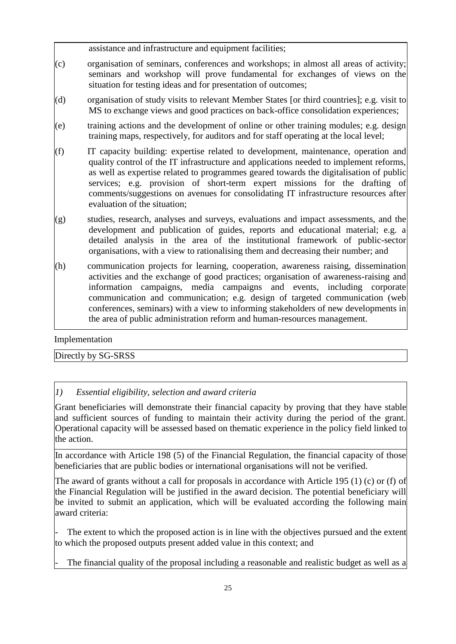assistance and infrastructure and equipment facilities;

- (c) organisation of seminars, conferences and workshops; in almost all areas of activity; seminars and workshop will prove fundamental for exchanges of views on the situation for testing ideas and for presentation of outcomes;
- (d) organisation of study visits to relevant Member States [or third countries]; e.g. visit to MS to exchange views and good practices on back-office consolidation experiences;
- (e) training actions and the development of online or other training modules; e.g. design training maps, respectively, for auditors and for staff operating at the local level;
- (f) IT capacity building: expertise related to development, maintenance, operation and quality control of the IT infrastructure and applications needed to implement reforms, as well as expertise related to programmes geared towards the digitalisation of public services; e.g. provision of short-term expert missions for the drafting of comments/suggestions on avenues for consolidating IT infrastructure resources after evaluation of the situation;
- (g) studies, research, analyses and surveys, evaluations and impact assessments, and the development and publication of guides, reports and educational material; e.g. a detailed analysis in the area of the institutional framework of public-sector organisations, with a view to rationalising them and decreasing their number; and
- (h) communication projects for learning, cooperation, awareness raising, dissemination activities and the exchange of good practices; organisation of awareness-raising and information campaigns, media campaigns and events, including corporate communication and communication; e.g. design of targeted communication (web conferences, seminars) with a view to informing stakeholders of new developments in the area of public administration reform and human-resources management.

Implementation

Directly by SG-SRSS

# *1) Essential eligibility, selection and award criteria*

Grant beneficiaries will demonstrate their financial capacity by proving that they have stable and sufficient sources of funding to maintain their activity during the period of the grant. Operational capacity will be assessed based on thematic experience in the policy field linked to the action.

In accordance with Article 198 (5) of the Financial Regulation, the financial capacity of those beneficiaries that are public bodies or international organisations will not be verified.

The award of grants without a call for proposals in accordance with Article 195 (1) (c) or (f) of the Financial Regulation will be justified in the award decision. The potential beneficiary will be invited to submit an application, which will be evaluated according the following main award criteria:

The extent to which the proposed action is in line with the objectives pursued and the extent to which the proposed outputs present added value in this context; and

The financial quality of the proposal including a reasonable and realistic budget as well as a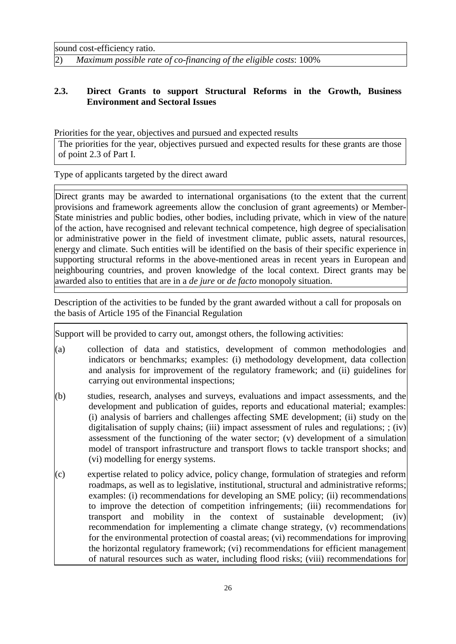sound cost-efficiency ratio.

2) *Maximum possible rate of co-financing of the eligible costs*: 100%

## **2.3. Direct Grants to support Structural Reforms in the Growth, Business Environment and Sectoral Issues**

Priorities for the year, objectives and pursued and expected results

The priorities for the year, objectives pursued and expected results for these grants are those of point 2.3 of Part I.

Type of applicants targeted by the direct award

Direct grants may be awarded to international organisations (to the extent that the current provisions and framework agreements allow the conclusion of grant agreements) or Member-State ministries and public bodies, other bodies, including private, which in view of the nature of the action, have recognised and relevant technical competence, high degree of specialisation or administrative power in the field of investment climate, public assets, natural resources, energy and climate. Such entities will be identified on the basis of their specific experience in supporting structural reforms in the above-mentioned areas in recent years in European and neighbouring countries, and proven knowledge of the local context. Direct grants may be awarded also to entities that are in a *de jure* or *de facto* monopoly situation.

Description of the activities to be funded by the grant awarded without a call for proposals on the basis of Article 195 of the Financial Regulation

Support will be provided to carry out, amongst others, the following activities:

- (a) collection of data and statistics, development of common methodologies and indicators or benchmarks; examples: (i) methodology development, data collection and analysis for improvement of the regulatory framework; and (ii) guidelines for carrying out environmental inspections;
- (b) studies, research, analyses and surveys, evaluations and impact assessments, and the development and publication of guides, reports and educational material; examples: (i) analysis of barriers and challenges affecting SME development; (ii) study on the digitalisation of supply chains; (iii) impact assessment of rules and regulations; ; (iv) assessment of the functioning of the water sector; (v) development of a simulation model of transport infrastructure and transport flows to tackle transport shocks; and (vi) modelling for energy systems.
- (c) expertise related to policy advice, policy change, formulation of strategies and reform roadmaps, as well as to legislative, institutional, structural and administrative reforms; examples: (i) recommendations for developing an SME policy; (ii) recommendations to improve the detection of competition infringements; (iii) recommendations for transport and mobility in the context of sustainable development; (iv) recommendation for implementing a climate change strategy, (v) recommendations for the environmental protection of coastal areas; (vi) recommendations for improving the horizontal regulatory framework; (vi) recommendations for efficient management of natural resources such as water, including flood risks; (viii) recommendations for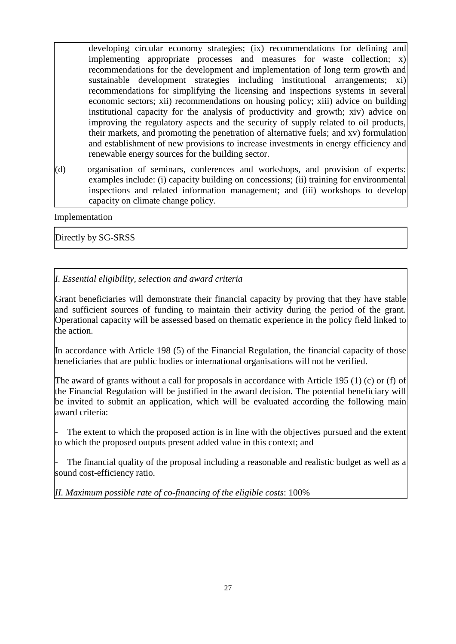developing circular economy strategies; (ix) recommendations for defining and implementing appropriate processes and measures for waste collection; x) recommendations for the development and implementation of long term growth and sustainable development strategies including institutional arrangements; xi) recommendations for simplifying the licensing and inspections systems in several economic sectors; xii) recommendations on housing policy; xiii) advice on building institutional capacity for the analysis of productivity and growth; xiv) advice on improving the regulatory aspects and the security of supply related to oil products, their markets, and promoting the penetration of alternative fuels; and xv) formulation and establishment of new provisions to increase investments in energy efficiency and renewable energy sources for the building sector.

(d) organisation of seminars, conferences and workshops, and provision of experts: examples include: (i) capacity building on concessions; (ii) training for environmental inspections and related information management; and (iii) workshops to develop capacity on climate change policy.

Implementation

Directly by SG-SRSS

# *I. Essential eligibility, selection and award criteria*

Grant beneficiaries will demonstrate their financial capacity by proving that they have stable and sufficient sources of funding to maintain their activity during the period of the grant. Operational capacity will be assessed based on thematic experience in the policy field linked to the action.

In accordance with Article 198 (5) of the Financial Regulation, the financial capacity of those beneficiaries that are public bodies or international organisations will not be verified.

The award of grants without a call for proposals in accordance with Article 195 (1) (c) or (f) of the Financial Regulation will be justified in the award decision. The potential beneficiary will be invited to submit an application, which will be evaluated according the following main award criteria:

The extent to which the proposed action is in line with the objectives pursued and the extent to which the proposed outputs present added value in this context; and

The financial quality of the proposal including a reasonable and realistic budget as well as a sound cost-efficiency ratio.

*II. Maximum possible rate of co-financing of the eligible costs*: 100%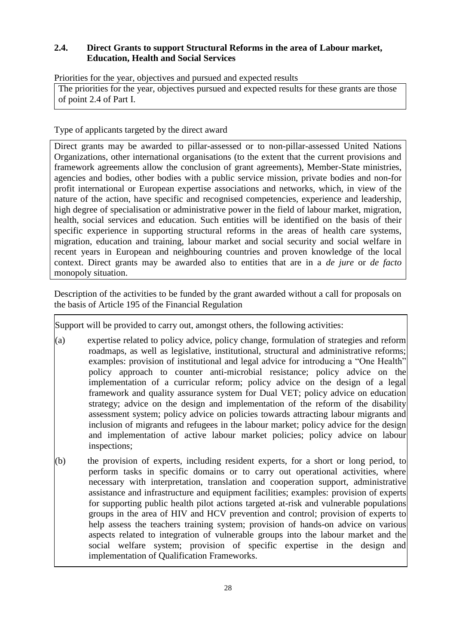# **2.4. Direct Grants to support Structural Reforms in the area of Labour market, Education, Health and Social Services**

Priorities for the year, objectives and pursued and expected results

The priorities for the year, objectives pursued and expected results for these grants are those of point 2.4 of Part I.

Type of applicants targeted by the direct award

Direct grants may be awarded to pillar-assessed or to non-pillar-assessed United Nations Organizations, other international organisations (to the extent that the current provisions and framework agreements allow the conclusion of grant agreements), Member-State ministries, agencies and bodies, other bodies with a public service mission, private bodies and non-for profit international or European expertise associations and networks, which, in view of the nature of the action, have specific and recognised competencies, experience and leadership, high degree of specialisation or administrative power in the field of labour market, migration, health, social services and education. Such entities will be identified on the basis of their specific experience in supporting structural reforms in the areas of health care systems, migration, education and training, labour market and social security and social welfare in recent years in European and neighbouring countries and proven knowledge of the local context. Direct grants may be awarded also to entities that are in a *de jure* or *de facto* monopoly situation.

Description of the activities to be funded by the grant awarded without a call for proposals on the basis of Article 195 of the Financial Regulation

Support will be provided to carry out, amongst others, the following activities:

- (a) expertise related to policy advice, policy change, formulation of strategies and reform roadmaps, as well as legislative, institutional, structural and administrative reforms; examples: provision of institutional and legal advice for introducing a "One Health" policy approach to counter anti-microbial resistance; policy advice on the implementation of a curricular reform; policy advice on the design of a legal framework and quality assurance system for Dual VET; policy advice on education strategy; advice on the design and implementation of the reform of the disability assessment system; policy advice on policies towards attracting labour migrants and inclusion of migrants and refugees in the labour market; policy advice for the design and implementation of active labour market policies; policy advice on labour inspections;
- (b) the provision of experts, including resident experts, for a short or long period, to perform tasks in specific domains or to carry out operational activities, where necessary with interpretation, translation and cooperation support, administrative assistance and infrastructure and equipment facilities; examples: provision of experts for supporting public health pilot actions targeted at-risk and vulnerable populations groups in the area of HIV and HCV prevention and control; provision of experts to help assess the teachers training system; provision of hands-on advice on various aspects related to integration of vulnerable groups into the labour market and the social welfare system; provision of specific expertise in the design and implementation of Qualification Frameworks.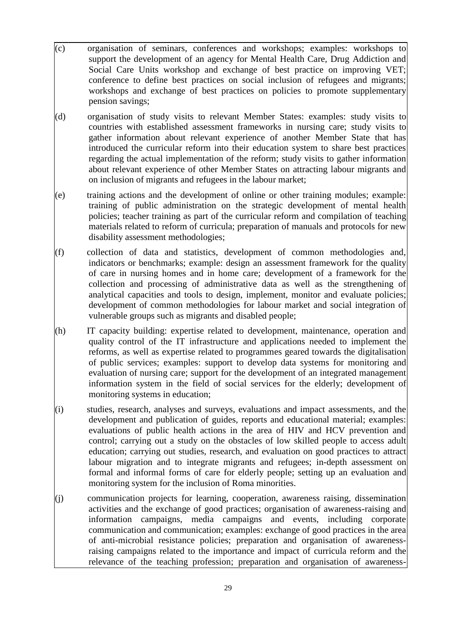- (c) organisation of seminars, conferences and workshops; examples: workshops to support the development of an agency for Mental Health Care, Drug Addiction and Social Care Units workshop and exchange of best practice on improving VET; conference to define best practices on social inclusion of refugees and migrants; workshops and exchange of best practices on policies to promote supplementary pension savings;
- (d) organisation of study visits to relevant Member States: examples: study visits to countries with established assessment frameworks in nursing care; study visits to gather information about relevant experience of another Member State that has introduced the curricular reform into their education system to share best practices regarding the actual implementation of the reform; study visits to gather information about relevant experience of other Member States on attracting labour migrants and on inclusion of migrants and refugees in the labour market;
- (e) training actions and the development of online or other training modules; example: training of public administration on the strategic development of mental health policies; teacher training as part of the curricular reform and compilation of teaching materials related to reform of curricula; preparation of manuals and protocols for new disability assessment methodologies;
- (f) collection of data and statistics, development of common methodologies and, indicators or benchmarks; example: design an assessment framework for the quality of care in nursing homes and in home care; development of a framework for the collection and processing of administrative data as well as the strengthening of analytical capacities and tools to design, implement, monitor and evaluate policies; development of common methodologies for labour market and social integration of vulnerable groups such as migrants and disabled people;
- (h) IT capacity building: expertise related to development, maintenance, operation and quality control of the IT infrastructure and applications needed to implement the reforms, as well as expertise related to programmes geared towards the digitalisation of public services; examples: support to develop data systems for monitoring and evaluation of nursing care; support for the development of an integrated management information system in the field of social services for the elderly; development of monitoring systems in education;
- (i) studies, research, analyses and surveys, evaluations and impact assessments, and the development and publication of guides, reports and educational material; examples: evaluations of public health actions in the area of HIV and HCV prevention and control; carrying out a study on the obstacles of low skilled people to access adult education; carrying out studies, research, and evaluation on good practices to attract labour migration and to integrate migrants and refugees; in-depth assessment on formal and informal forms of care for elderly people; setting up an evaluation and monitoring system for the inclusion of Roma minorities.
- (j) communication projects for learning, cooperation, awareness raising, dissemination activities and the exchange of good practices; organisation of awareness-raising and information campaigns, media campaigns and events, including corporate communication and communication; examples: exchange of good practices in the area of anti-microbial resistance policies; preparation and organisation of awarenessraising campaigns related to the importance and impact of curricula reform and the relevance of the teaching profession; preparation and organisation of awareness-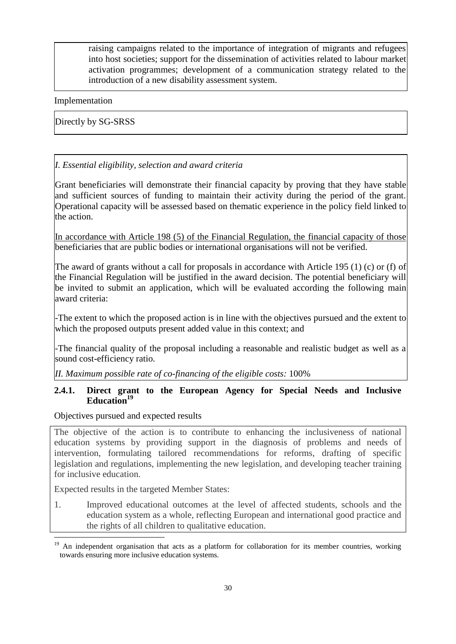raising campaigns related to the importance of integration of migrants and refugees into host societies; support for the dissemination of activities related to labour market activation programmes; development of a communication strategy related to the introduction of a new disability assessment system.

#### Implementation

Directly by SG-SRSS

### *I. Essential eligibility, selection and award criteria*

Grant beneficiaries will demonstrate their financial capacity by proving that they have stable and sufficient sources of funding to maintain their activity during the period of the grant. Operational capacity will be assessed based on thematic experience in the policy field linked to the action.

In accordance with Article 198 (5) of the Financial Regulation, the financial capacity of those beneficiaries that are public bodies or international organisations will not be verified.

The award of grants without a call for proposals in accordance with Article 195 (1) (c) or (f) of the Financial Regulation will be justified in the award decision. The potential beneficiary will be invited to submit an application, which will be evaluated according the following main award criteria:

-The extent to which the proposed action is in line with the objectives pursued and the extent to which the proposed outputs present added value in this context; and

-The financial quality of the proposal including a reasonable and realistic budget as well as a sound cost-efficiency ratio.

*II. Maximum possible rate of co-financing of the eligible costs:* 100%

### **2.4.1. Direct grant to the European Agency for Special Needs and Inclusive Education<sup>19</sup>**

Objectives pursued and expected results

The objective of the action is to contribute to enhancing the inclusiveness of national education systems by providing support in the diagnosis of problems and needs of intervention, formulating tailored recommendations for reforms, drafting of specific legislation and regulations, implementing the new legislation, and developing teacher training for inclusive education.

Expected results in the targeted Member States:

<u>.</u>

1. Improved educational outcomes at the level of affected students, schools and the education system as a whole, reflecting European and international good practice and the rights of all children to qualitative education.

<sup>&</sup>lt;sup>19</sup> An independent organisation that acts as a platform for collaboration for its member countries, working towards ensuring more inclusive education systems.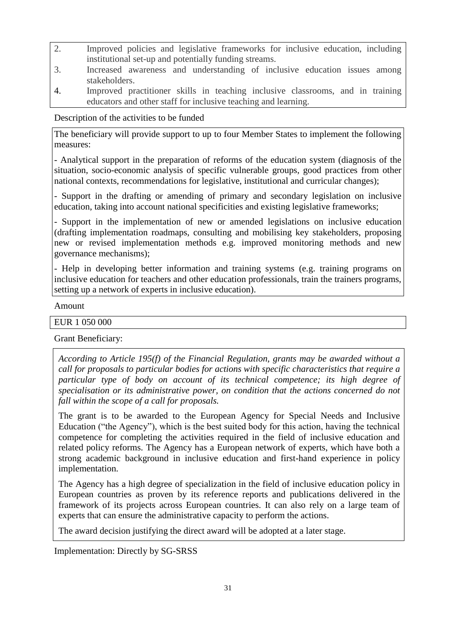- 2. Improved policies and legislative frameworks for inclusive education, including institutional set-up and potentially funding streams.
- 3. Increased awareness and understanding of inclusive education issues among stakeholders.
- 4. Improved practitioner skills in teaching inclusive classrooms, and in training educators and other staff for inclusive teaching and learning.

Description of the activities to be funded

The beneficiary will provide support to up to four Member States to implement the following measures:

- Analytical support in the preparation of reforms of the education system (diagnosis of the situation, socio-economic analysis of specific vulnerable groups, good practices from other national contexts, recommendations for legislative, institutional and curricular changes);

- Support in the drafting or amending of primary and secondary legislation on inclusive education, taking into account national specificities and existing legislative frameworks;

- Support in the implementation of new or amended legislations on inclusive education (drafting implementation roadmaps, consulting and mobilising key stakeholders, proposing new or revised implementation methods e.g. improved monitoring methods and new governance mechanisms);

- Help in developing better information and training systems (e.g. training programs on inclusive education for teachers and other education professionals, train the trainers programs, setting up a network of experts in inclusive education).

### Amount

#### EUR 1 050 000

Grant Beneficiary:

*According to Article 195(f) of the Financial Regulation, grants may be awarded without a call for proposals to particular bodies for actions with specific characteristics that require a particular type of body on account of its technical competence; its high degree of specialisation or its administrative power, on condition that the actions concerned do not fall within the scope of a call for proposals.*

The grant is to be awarded to the European Agency for Special Needs and Inclusive Education ("the Agency"), which is the best suited body for this action, having the technical competence for completing the activities required in the field of inclusive education and related policy reforms. The Agency has a European network of experts, which have both a strong academic background in inclusive education and first-hand experience in policy implementation.

The Agency has a high degree of specialization in the field of inclusive education policy in European countries as proven by its reference reports and publications delivered in the framework of its projects across European countries. It can also rely on a large team of experts that can ensure the administrative capacity to perform the actions.

The award decision justifying the direct award will be adopted at a later stage.

Implementation: Directly by SG-SRSS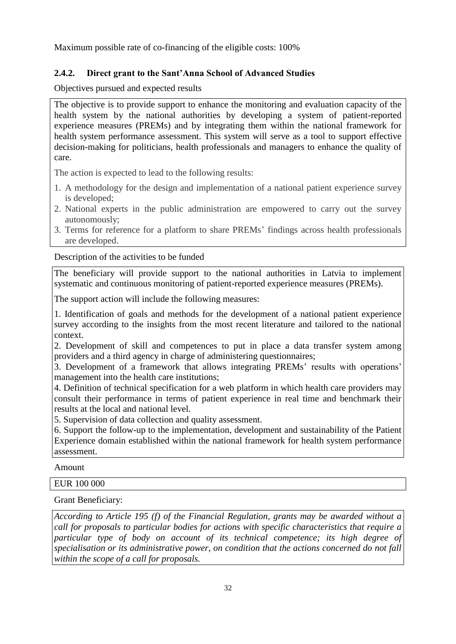Maximum possible rate of co-financing of the eligible costs: 100%

# **2.4.2. Direct grant to the Sant'Anna School of Advanced Studies**

Objectives pursued and expected results

The objective is to provide support to enhance the monitoring and evaluation capacity of the health system by the national authorities by developing a system of patient-reported experience measures (PREMs) and by integrating them within the national framework for health system performance assessment. This system will serve as a tool to support effective decision-making for politicians, health professionals and managers to enhance the quality of care.

The action is expected to lead to the following results:

- 1. A methodology for the design and implementation of a national patient experience survey is developed;
- 2. National experts in the public administration are empowered to carry out the survey autonomously;
- 3. Terms for reference for a platform to share PREMs' findings across health professionals are developed.

Description of the activities to be funded

The beneficiary will provide support to the national authorities in Latvia to implement systematic and continuous monitoring of patient-reported experience measures (PREMs).

The support action will include the following measures:

1. Identification of goals and methods for the development of a national patient experience survey according to the insights from the most recent literature and tailored to the national context.

2. Development of skill and competences to put in place a data transfer system among providers and a third agency in charge of administering questionnaires;

3. Development of a framework that allows integrating PREMs' results with operations' management into the health care institutions;

4. Definition of technical specification for a web platform in which health care providers may consult their performance in terms of patient experience in real time and benchmark their results at the local and national level.

5. Supervision of data collection and quality assessment.

6. Support the follow-up to the implementation, development and sustainability of the Patient Experience domain established within the national framework for health system performance assessment.

Amount

### EUR 100 000

Grant Beneficiary:

*According to Article 195 (f) of the Financial Regulation, grants may be awarded without a call for proposals to particular bodies for actions with specific characteristics that require a particular type of body on account of its technical competence; its high degree of specialisation or its administrative power, on condition that the actions concerned do not fall within the scope of a call for proposals.*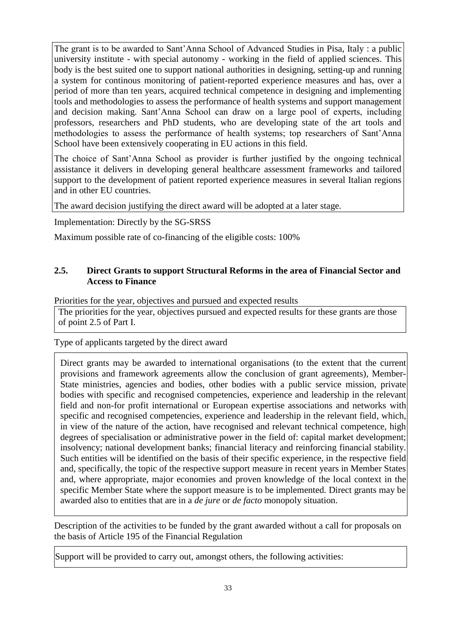The grant is to be awarded to Sant'Anna School of Advanced Studies in Pisa, Italy : a public university institute - with special autonomy - working in the field of applied sciences. This body is the best suited one to support national authorities in designing, setting-up and running a system for continous monitoring of patient-reported experience measures and has, over a period of more than ten years, acquired technical competence in designing and implementing tools and methodologies to assess the performance of health systems and support management and decision making. Sant'Anna School can draw on a large pool of experts, including professors, researchers and PhD students, who are developing state of the art tools and methodologies to assess the performance of health systems; top researchers of Sant'Anna School have been extensively cooperating in EU actions in this field.

The choice of Sant'Anna School as provider is further justified by the ongoing technical assistance it delivers in developing general healthcare assessment frameworks and tailored support to the development of patient reported experience measures in several Italian regions and in other EU countries.

The award decision justifying the direct award will be adopted at a later stage.

Implementation: Directly by the SG-SRSS

Maximum possible rate of co-financing of the eligible costs: 100%

## **2.5. Direct Grants to support Structural Reforms in the area of Financial Sector and Access to Finance**

Priorities for the year, objectives and pursued and expected results

The priorities for the year, objectives pursued and expected results for these grants are those of point 2.5 of Part I.

Type of applicants targeted by the direct award

Direct grants may be awarded to international organisations (to the extent that the current provisions and framework agreements allow the conclusion of grant agreements), Member-State ministries, agencies and bodies, other bodies with a public service mission, private bodies with specific and recognised competencies, experience and leadership in the relevant field and non-for profit international or European expertise associations and networks with specific and recognised competencies, experience and leadership in the relevant field, which, in view of the nature of the action, have recognised and relevant technical competence, high degrees of specialisation or administrative power in the field of: capital market development; insolvency; national development banks; financial literacy and reinforcing financial stability. Such entities will be identified on the basis of their specific experience, in the respective field and, specifically, the topic of the respective support measure in recent years in Member States and, where appropriate, major economies and proven knowledge of the local context in the specific Member State where the support measure is to be implemented. Direct grants may be awarded also to entities that are in a *de jure* or *de facto* monopoly situation.

Description of the activities to be funded by the grant awarded without a call for proposals on the basis of Article 195 of the Financial Regulation

Support will be provided to carry out, amongst others, the following activities: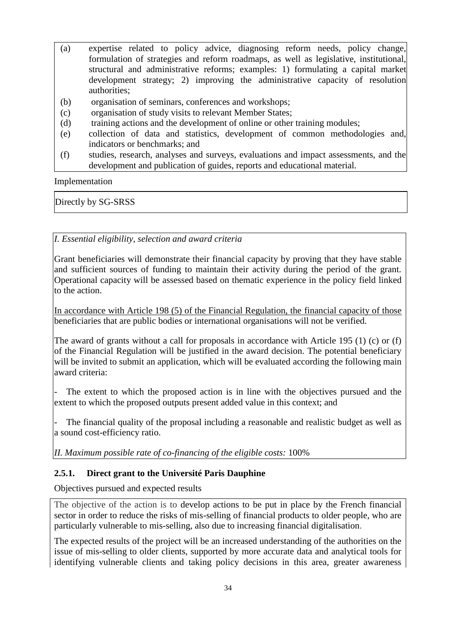- (a) expertise related to policy advice, diagnosing reform needs, policy change, formulation of strategies and reform roadmaps, as well as legislative, institutional, structural and administrative reforms; examples: 1) formulating a capital market development strategy; 2) improving the administrative capacity of resolution authorities;
- (b) organisation of seminars, conferences and workshops;
- (c) organisation of study visits to relevant Member States;
- (d) training actions and the development of online or other training modules;
- (e) collection of data and statistics, development of common methodologies and, indicators or benchmarks; and
- (f) studies, research, analyses and surveys, evaluations and impact assessments, and the development and publication of guides, reports and educational material.

Implementation

Directly by SG-SRSS

*I. Essential eligibility, selection and award criteria*

Grant beneficiaries will demonstrate their financial capacity by proving that they have stable and sufficient sources of funding to maintain their activity during the period of the grant. Operational capacity will be assessed based on thematic experience in the policy field linked to the action.

In accordance with Article 198 (5) of the Financial Regulation, the financial capacity of those beneficiaries that are public bodies or international organisations will not be verified.

The award of grants without a call for proposals in accordance with Article 195 (1) (c) or (f) of the Financial Regulation will be justified in the award decision. The potential beneficiary will be invited to submit an application, which will be evaluated according the following main award criteria:

The extent to which the proposed action is in line with the objectives pursued and the extent to which the proposed outputs present added value in this context; and

The financial quality of the proposal including a reasonable and realistic budget as well as a sound cost-efficiency ratio.

*II. Maximum possible rate of co-financing of the eligible costs:* 100%

# **2.5.1. Direct grant to the Université Paris Dauphine**

Objectives pursued and expected results

The objective of the action is to develop actions to be put in place by the French financial sector in order to reduce the risks of mis-selling of financial products to older people, who are particularly vulnerable to mis-selling, also due to increasing financial digitalisation.

The expected results of the project will be an increased understanding of the authorities on the issue of mis-selling to older clients, supported by more accurate data and analytical tools for identifying vulnerable clients and taking policy decisions in this area, greater awareness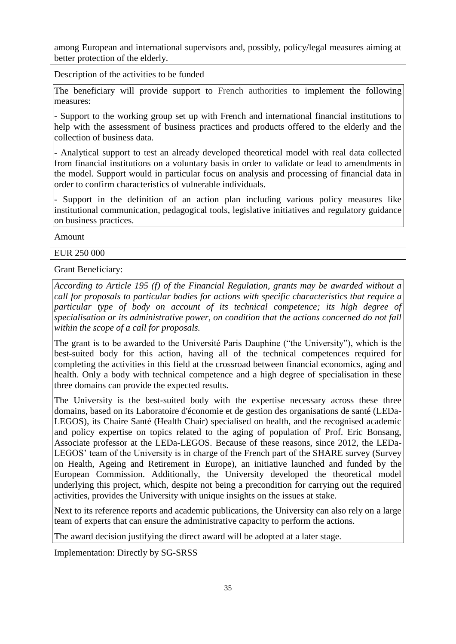among European and international supervisors and, possibly, policy/legal measures aiming at better protection of the elderly.

Description of the activities to be funded

The beneficiary will provide support to French authorities to implement the following measures:

- Support to the working group set up with French and international financial institutions to help with the assessment of business practices and products offered to the elderly and the collection of business data.

- Analytical support to test an already developed theoretical model with real data collected from financial institutions on a voluntary basis in order to validate or lead to amendments in the model. Support would in particular focus on analysis and processing of financial data in order to confirm characteristics of vulnerable individuals.

- Support in the definition of an action plan including various policy measures like institutional communication, pedagogical tools, legislative initiatives and regulatory guidance on business practices.

Amount

EUR 250 000

Grant Beneficiary:

*According to Article 195 (f) of the Financial Regulation, grants may be awarded without a call for proposals to particular bodies for actions with specific characteristics that require a particular type of body on account of its technical competence; its high degree of specialisation or its administrative power, on condition that the actions concerned do not fall within the scope of a call for proposals.*

The grant is to be awarded to the Université Paris Dauphine ("the University"), which is the best-suited body for this action, having all of the technical competences required for completing the activities in this field at the crossroad between financial economics, aging and health. Only a body with technical competence and a high degree of specialisation in these three domains can provide the expected results.

The University is the best-suited body with the expertise necessary across these three domains, based on its Laboratoire d'économie et de gestion des organisations de santé (LEDa-LEGOS), its Chaire Santé (Health Chair) specialised on health, and the recognised academic and policy expertise on topics related to the aging of population of Prof. Eric Bonsang, Associate professor at the LEDa-LEGOS. Because of these reasons, since 2012, the LEDa-LEGOS' team of the University is in charge of the French part of the SHARE survey (Survey on Health, Ageing and Retirement in Europe), an initiative launched and funded by the European Commission. Additionally, the University developed the theoretical model underlying this project, which, despite not being a precondition for carrying out the required activities, provides the University with unique insights on the issues at stake.

Next to its reference reports and academic publications, the University can also rely on a large team of experts that can ensure the administrative capacity to perform the actions.

The award decision justifying the direct award will be adopted at a later stage.

Implementation: Directly by SG-SRSS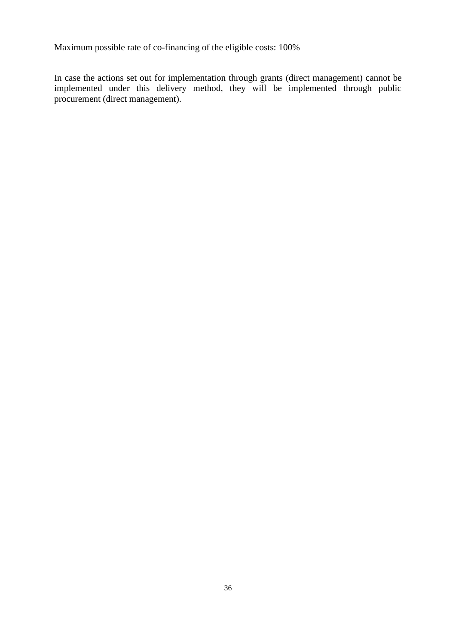Maximum possible rate of co-financing of the eligible costs: 100%

In case the actions set out for implementation through grants (direct management) cannot be implemented under this delivery method, they will be implemented through public procurement (direct management).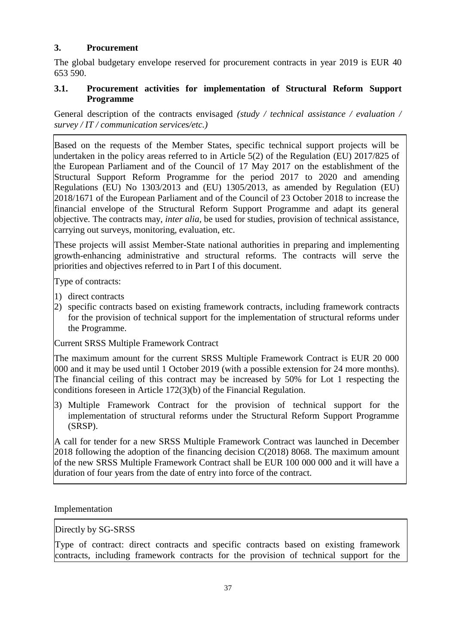### **3. Procurement**

The global budgetary envelope reserved for procurement contracts in year 2019 is EUR 40 653 590.

### **3.1. Procurement activities for implementation of Structural Reform Support Programme**

General description of the contracts envisaged *(study / technical assistance / evaluation / survey / IT / communication services/etc.)*

Based on the requests of the Member States, specific technical support projects will be undertaken in the policy areas referred to in Article 5(2) of the Regulation (EU) 2017/825 of the European Parliament and of the Council of 17 May 2017 on the establishment of the Structural Support Reform Programme for the period 2017 to 2020 and amending Regulations (EU) No 1303/2013 and (EU) 1305/2013, as amended by Regulation (EU) 2018/1671 of the European Parliament and of the Council of 23 October 2018 to increase the financial envelope of the Structural Reform Support Programme and adapt its general objective. The contracts may, *inter alia,* be used for studies, provision of technical assistance, carrying out surveys, monitoring, evaluation, etc.

These projects will assist Member-State national authorities in preparing and implementing growth-enhancing administrative and structural reforms. The contracts will serve the priorities and objectives referred to in Part I of this document.

Type of contracts:

- 1) direct contracts
- 2) specific contracts based on existing framework contracts, including framework contracts for the provision of technical support for the implementation of structural reforms under the Programme.

Current SRSS Multiple Framework Contract

The maximum amount for the current SRSS Multiple Framework Contract is EUR 20 000 000 and it may be used until 1 October 2019 (with a possible extension for 24 more months). The financial ceiling of this contract may be increased by 50% for Lot 1 respecting the conditions foreseen in Article 172(3)(b) of the Financial Regulation.

3) Multiple Framework Contract for the provision of technical support for the implementation of structural reforms under the Structural Reform Support Programme (SRSP).

A call for tender for a new SRSS Multiple Framework Contract was launched in December 2018 following the adoption of the financing decision C(2018) 8068. The maximum amount of the new SRSS Multiple Framework Contract shall be EUR 100 000 000 and it will have a duration of four years from the date of entry into force of the contract.

Implementation

Directly by SG-SRSS

Type of contract: direct contracts and specific contracts based on existing framework contracts, including framework contracts for the provision of technical support for the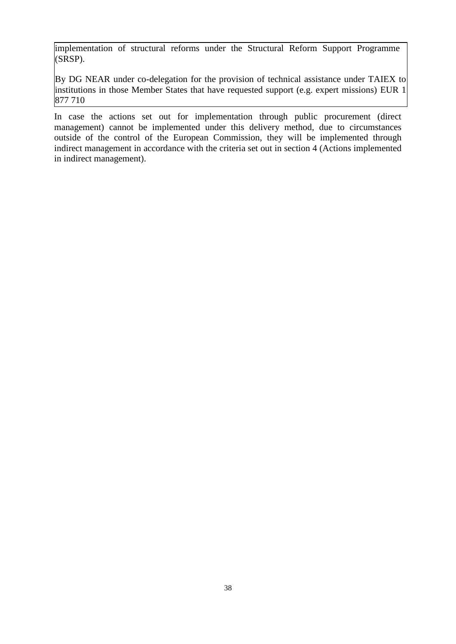implementation of structural reforms under the Structural Reform Support Programme (SRSP).

By DG NEAR under co-delegation for the provision of technical assistance under TAIEX to institutions in those Member States that have requested support (e.g. expert missions) EUR 1 877 710

In case the actions set out for implementation through public procurement (direct management) cannot be implemented under this delivery method, due to circumstances outside of the control of the European Commission, they will be implemented through indirect management in accordance with the criteria set out in section 4 (Actions implemented in indirect management).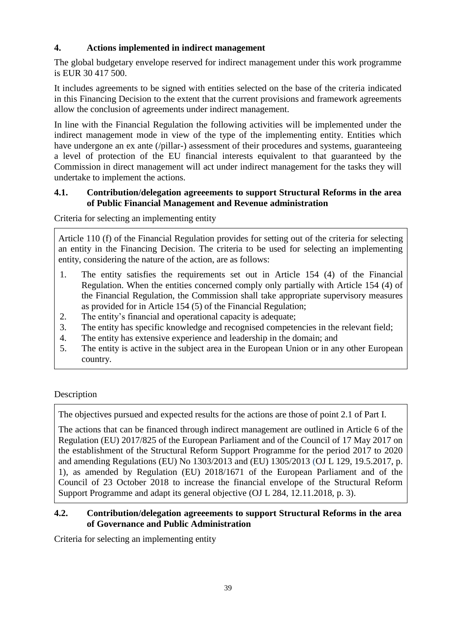# **4. Actions implemented in indirect management**

The global budgetary envelope reserved for indirect management under this work programme is EUR 30 417 500.

It includes agreements to be signed with entities selected on the base of the criteria indicated in this Financing Decision to the extent that the current provisions and framework agreements allow the conclusion of agreements under indirect management.

In line with the Financial Regulation the following activities will be implemented under the indirect management mode in view of the type of the implementing entity. Entities which have undergone an ex ante (/pillar-) assessment of their procedures and systems, guaranteeing a level of protection of the EU financial interests equivalent to that guaranteed by the Commission in direct management will act under indirect management for the tasks they will undertake to implement the actions.

## **4.1. Contribution/delegation agreeements to support Structural Reforms in the area of Public Financial Management and Revenue administration**

Criteria for selecting an implementing entity

Article 110 (f) of the Financial Regulation provides for setting out of the criteria for selecting an entity in the Financing Decision. The criteria to be used for selecting an implementing entity, considering the nature of the action, are as follows:

- 1. The entity satisfies the requirements set out in Article 154 (4) of the Financial Regulation. When the entities concerned comply only partially with Article 154 (4) of the Financial Regulation, the Commission shall take appropriate supervisory measures as provided for in Article 154 (5) of the Financial Regulation;
- 2. The entity's financial and operational capacity is adequate;
- 3. The entity has specific knowledge and recognised competencies in the relevant field;
- 4. The entity has extensive experience and leadership in the domain; and
- 5. The entity is active in the subject area in the European Union or in any other European country.

# Description

The objectives pursued and expected results for the actions are those of point 2.1 of Part I.

The actions that can be financed through indirect management are outlined in Article 6 of the Regulation (EU) 2017/825 of the European Parliament and of the Council of 17 May 2017 on the establishment of the Structural Reform Support Programme for the period 2017 to 2020 and amending Regulations (EU) No 1303/2013 and (EU) 1305/2013 (OJ L 129, 19.5.2017, p. 1), as amended by Regulation (EU) 2018/1671 of the European Parliament and of the Council of 23 October 2018 to increase the financial envelope of the Structural Reform Support Programme and adapt its general objective (OJ L 284, 12.11.2018, p. 3).

# **4.2. Contribution/delegation agreeements to support Structural Reforms in the area of Governance and Public Administration**

Criteria for selecting an implementing entity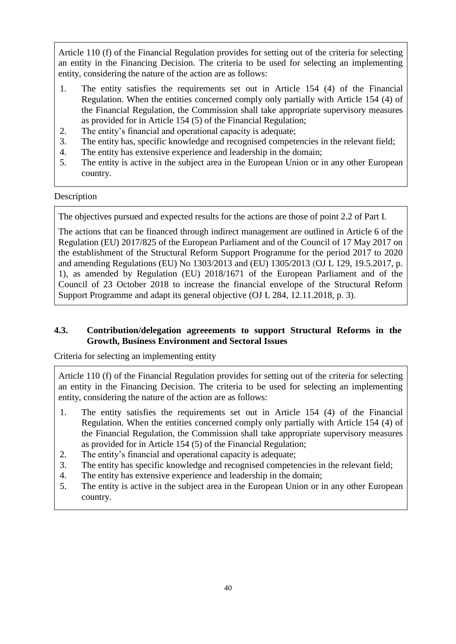Article 110 (f) of the Financial Regulation provides for setting out of the criteria for selecting an entity in the Financing Decision. The criteria to be used for selecting an implementing entity, considering the nature of the action are as follows:

- 1. The entity satisfies the requirements set out in Article 154 (4) of the Financial Regulation. When the entities concerned comply only partially with Article 154 (4) of the Financial Regulation, the Commission shall take appropriate supervisory measures as provided for in Article 154 (5) of the Financial Regulation;
- 2. The entity's financial and operational capacity is adequate;
- 3. The entity has, specific knowledge and recognised competencies in the relevant field;
- 4. The entity has extensive experience and leadership in the domain;
- 5. The entity is active in the subject area in the European Union or in any other European country.

### Description

The objectives pursued and expected results for the actions are those of point 2.2 of Part I.

The actions that can be financed through indirect management are outlined in Article 6 of the Regulation (EU) 2017/825 of the European Parliament and of the Council of 17 May 2017 on the establishment of the Structural Reform Support Programme for the period 2017 to 2020 and amending Regulations (EU) No 1303/2013 and (EU) 1305/2013 (OJ L 129, 19.5.2017, p. 1), as amended by Regulation (EU) 2018/1671 of the European Parliament and of the Council of 23 October 2018 to increase the financial envelope of the Structural Reform Support Programme and adapt its general objective (OJ L 284, 12.11.2018, p. 3).

### **4.3. Contribution/delegation agreeements to support Structural Reforms in the Growth, Business Environment and Sectoral Issues**

Criteria for selecting an implementing entity

Article 110 (f) of the Financial Regulation provides for setting out of the criteria for selecting an entity in the Financing Decision. The criteria to be used for selecting an implementing entity, considering the nature of the action are as follows:

- 1. The entity satisfies the requirements set out in Article 154 (4) of the Financial Regulation. When the entities concerned comply only partially with Article 154 (4) of the Financial Regulation, the Commission shall take appropriate supervisory measures as provided for in Article 154 (5) of the Financial Regulation;
- 2. The entity's financial and operational capacity is adequate;
- 3. The entity has specific knowledge and recognised competencies in the relevant field;
- 4. The entity has extensive experience and leadership in the domain;
- 5. The entity is active in the subject area in the European Union or in any other European country.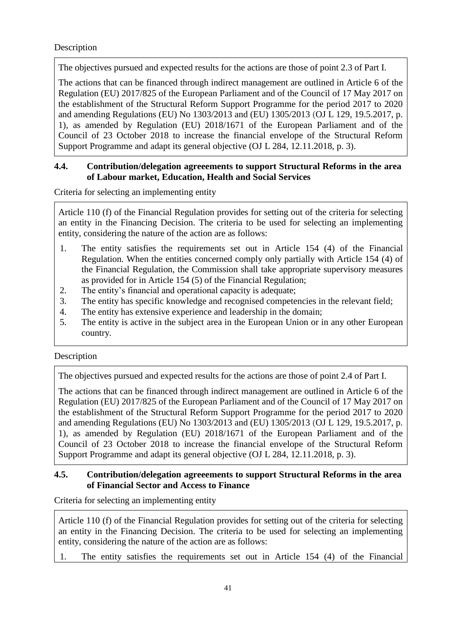### Description

The objectives pursued and expected results for the actions are those of point 2.3 of Part I.

The actions that can be financed through indirect management are outlined in Article 6 of the Regulation (EU) 2017/825 of the European Parliament and of the Council of 17 May 2017 on the establishment of the Structural Reform Support Programme for the period 2017 to 2020 and amending Regulations (EU) No 1303/2013 and (EU) 1305/2013 (OJ L 129, 19.5.2017, p. 1), as amended by Regulation (EU) 2018/1671 of the European Parliament and of the Council of 23 October 2018 to increase the financial envelope of the Structural Reform Support Programme and adapt its general objective (OJ L 284, 12.11.2018, p. 3).

## **4.4. Contribution/delegation agreeements to support Structural Reforms in the area of Labour market, Education, Health and Social Services**

Criteria for selecting an implementing entity

Article 110 (f) of the Financial Regulation provides for setting out of the criteria for selecting an entity in the Financing Decision. The criteria to be used for selecting an implementing entity, considering the nature of the action are as follows:

- 1. The entity satisfies the requirements set out in Article 154 (4) of the Financial Regulation. When the entities concerned comply only partially with Article 154 (4) of the Financial Regulation, the Commission shall take appropriate supervisory measures as provided for in Article 154 (5) of the Financial Regulation;
- 2. The entity's financial and operational capacity is adequate;
- 3. The entity has specific knowledge and recognised competencies in the relevant field;
- 4. The entity has extensive experience and leadership in the domain;
- 5. The entity is active in the subject area in the European Union or in any other European country.

### Description

The objectives pursued and expected results for the actions are those of point 2.4 of Part I.

The actions that can be financed through indirect management are outlined in Article 6 of the Regulation (EU) 2017/825 of the European Parliament and of the Council of 17 May 2017 on the establishment of the Structural Reform Support Programme for the period 2017 to 2020 and amending Regulations (EU) No 1303/2013 and (EU) 1305/2013 (OJ L 129, 19.5.2017, p. 1), as amended by Regulation (EU) 2018/1671 of the European Parliament and of the Council of 23 October 2018 to increase the financial envelope of the Structural Reform Support Programme and adapt its general objective (OJ L 284, 12.11.2018, p. 3).

# **4.5. Contribution/delegation agreeements to support Structural Reforms in the area of Financial Sector and Access to Finance**

Criteria for selecting an implementing entity

Article 110 (f) of the Financial Regulation provides for setting out of the criteria for selecting an entity in the Financing Decision. The criteria to be used for selecting an implementing entity, considering the nature of the action are as follows:

1. The entity satisfies the requirements set out in Article 154 (4) of the Financial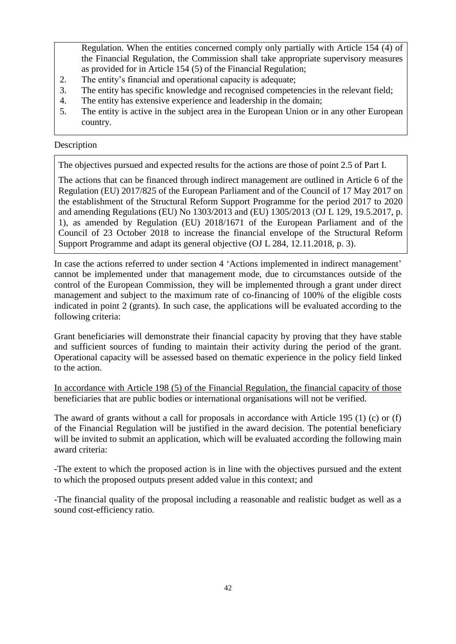Regulation. When the entities concerned comply only partially with Article 154 (4) of the Financial Regulation, the Commission shall take appropriate supervisory measures as provided for in Article 154 (5) of the Financial Regulation;

- 2. The entity's financial and operational capacity is adequate;<br>3. The entity has specific knowledge and recognised competer
- The entity has specific knowledge and recognised competencies in the relevant field;
- 4. The entity has extensive experience and leadership in the domain;
- 5. The entity is active in the subject area in the European Union or in any other European country.

#### Description

The objectives pursued and expected results for the actions are those of point 2.5 of Part I.

The actions that can be financed through indirect management are outlined in Article 6 of the Regulation (EU) 2017/825 of the European Parliament and of the Council of 17 May 2017 on the establishment of the Structural Reform Support Programme for the period 2017 to 2020 and amending Regulations (EU) No 1303/2013 and (EU) 1305/2013 (OJ L 129, 19.5.2017, p. 1), as amended by Regulation (EU) 2018/1671 of the European Parliament and of the Council of 23 October 2018 to increase the financial envelope of the Structural Reform Support Programme and adapt its general objective (OJ L 284, 12.11.2018, p. 3).

In case the actions referred to under section 4 'Actions implemented in indirect management' cannot be implemented under that management mode, due to circumstances outside of the control of the European Commission, they will be implemented through a grant under direct management and subject to the maximum rate of co-financing of 100% of the eligible costs indicated in point 2 (grants). In such case, the applications will be evaluated according to the following criteria:

Grant beneficiaries will demonstrate their financial capacity by proving that they have stable and sufficient sources of funding to maintain their activity during the period of the grant. Operational capacity will be assessed based on thematic experience in the policy field linked to the action.

In accordance with Article 198 (5) of the Financial Regulation, the financial capacity of those beneficiaries that are public bodies or international organisations will not be verified.

The award of grants without a call for proposals in accordance with Article 195 (1) (c) or (f) of the Financial Regulation will be justified in the award decision. The potential beneficiary will be invited to submit an application, which will be evaluated according the following main award criteria:

-The extent to which the proposed action is in line with the objectives pursued and the extent to which the proposed outputs present added value in this context; and

-The financial quality of the proposal including a reasonable and realistic budget as well as a sound cost-efficiency ratio.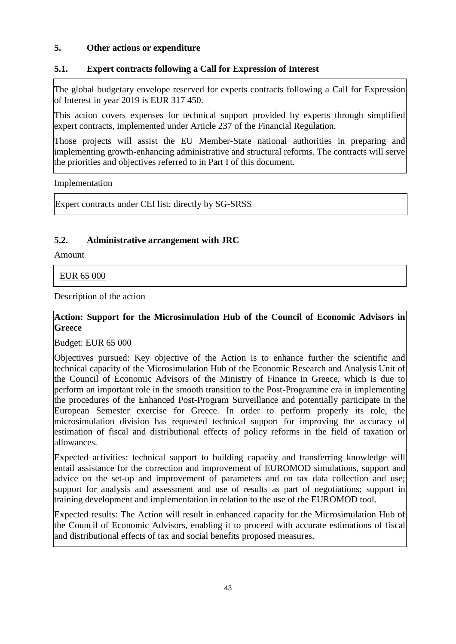### **5. Other actions or expenditure**

# **5.1. Expert contracts following a Call for Expression of Interest**

The global budgetary envelope reserved for experts contracts following a Call for Expression of Interest in year 2019 is EUR 317 450.

This action covers expenses for technical support provided by experts through simplified expert contracts, implemented under Article 237 of the Financial Regulation.

Those projects will assist the EU Member-State national authorities in preparing and implementing growth-enhancing administrative and structural reforms. The contracts will serve the priorities and objectives referred to in Part I of this document.

Implementation

Expert contracts under CEI list: directly by SG-SRSS

### **5.2. Administrative arrangement with JRC**

Amount

EUR 65 000

Description of the action

### **Action: Support for the Microsimulation Hub of the Council of Economic Advisors in Greece**

Budget: EUR 65 000

Objectives pursued: Key objective of the Action is to enhance further the scientific and technical capacity of the Microsimulation Hub of the Economic Research and Analysis Unit of the Council of Economic Advisors of the Ministry of Finance in Greece, which is due to perform an important role in the smooth transition to the Post-Programme era in implementing the procedures of the Enhanced Post-Program Surveillance and potentially participate in the European Semester exercise for Greece. In order to perform properly its role, the microsimulation division has requested technical support for improving the accuracy of estimation of fiscal and distributional effects of policy reforms in the field of taxation or allowances.

Expected activities: technical support to building capacity and transferring knowledge will entail assistance for the correction and improvement of EUROMOD simulations, support and advice on the set-up and improvement of parameters and on tax data collection and use; support for analysis and assessment and use of results as part of negotiations; support in training development and implementation in relation to the use of the EUROMOD tool.

Expected results: The Action will result in enhanced capacity for the Microsimulation Hub of the Council of Economic Advisors, enabling it to proceed with accurate estimations of fiscal and distributional effects of tax and social benefits proposed measures.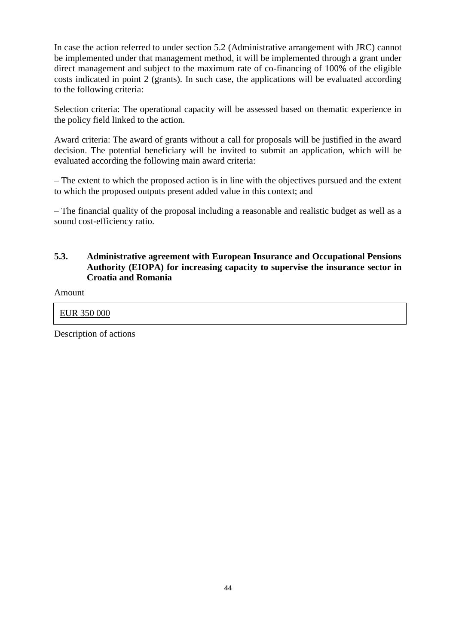In case the action referred to under section 5.2 (Administrative arrangement with JRC) cannot be implemented under that management method, it will be implemented through a grant under direct management and subject to the maximum rate of co-financing of 100% of the eligible costs indicated in point 2 (grants). In such case, the applications will be evaluated according to the following criteria:

Selection criteria: The operational capacity will be assessed based on thematic experience in the policy field linked to the action.

Award criteria: The award of grants without a call for proposals will be justified in the award decision. The potential beneficiary will be invited to submit an application, which will be evaluated according the following main award criteria:

– The extent to which the proposed action is in line with the objectives pursued and the extent to which the proposed outputs present added value in this context; and

– The financial quality of the proposal including a reasonable and realistic budget as well as a sound cost-efficiency ratio.

# **5.3. Administrative agreement with European Insurance and Occupational Pensions Authority (EIOPA) for increasing capacity to supervise the insurance sector in Croatia and Romania**

Amount

### EUR 350 000

Description of actions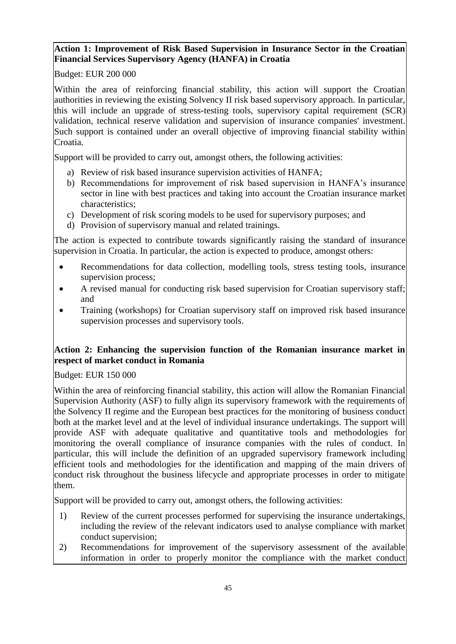# **Action 1: Improvement of Risk Based Supervision in Insurance Sector in the Croatian Financial Services Supervisory Agency (HANFA) in Croatia**

Budget: EUR 200 000

Within the area of reinforcing financial stability, this action will support the Croatian authorities in reviewing the existing Solvency II risk based supervisory approach. In particular, this will include an upgrade of stress-testing tools, supervisory capital requirement (SCR) validation, technical reserve validation and supervision of insurance companies' investment. Such support is contained under an overall objective of improving financial stability within Croatia.

Support will be provided to carry out, amongst others, the following activities:

- a) Review of risk based insurance supervision activities of HANFA;
- b) Recommendations for improvement of risk based supervision in HANFA's insurance sector in line with best practices and taking into account the Croatian insurance market characteristics;
- c) Development of risk scoring models to be used for supervisory purposes; and
- d) Provision of supervisory manual and related trainings.

The action is expected to contribute towards significantly raising the standard of insurance supervision in Croatia. In particular, the action is expected to produce, amongst others:

- Recommendations for data collection, modelling tools, stress testing tools, insurance supervision process;
- A revised manual for conducting risk based supervision for Croatian supervisory staff; and
- Training (workshops) for Croatian supervisory staff on improved risk based insurance supervision processes and supervisory tools.

# **Action 2: Enhancing the supervision function of the Romanian insurance market in respect of market conduct in Romania**

Budget: EUR 150 000

Within the area of reinforcing financial stability, this action will allow the Romanian Financial Supervision Authority (ASF) to fully align its supervisory framework with the requirements of the Solvency II regime and the European best practices for the monitoring of business conduct both at the market level and at the level of individual insurance undertakings. The support will provide ASF with adequate qualitative and quantitative tools and methodologies for monitoring the overall compliance of insurance companies with the rules of conduct. In particular, this will include the definition of an upgraded supervisory framework including efficient tools and methodologies for the identification and mapping of the main drivers of conduct risk throughout the business lifecycle and appropriate processes in order to mitigate them.

Support will be provided to carry out, amongst others, the following activities:

- 1) Review of the current processes performed for supervising the insurance undertakings, including the review of the relevant indicators used to analyse compliance with market conduct supervision;
- 2) Recommendations for improvement of the supervisory assessment of the available information in order to properly monitor the compliance with the market conduct